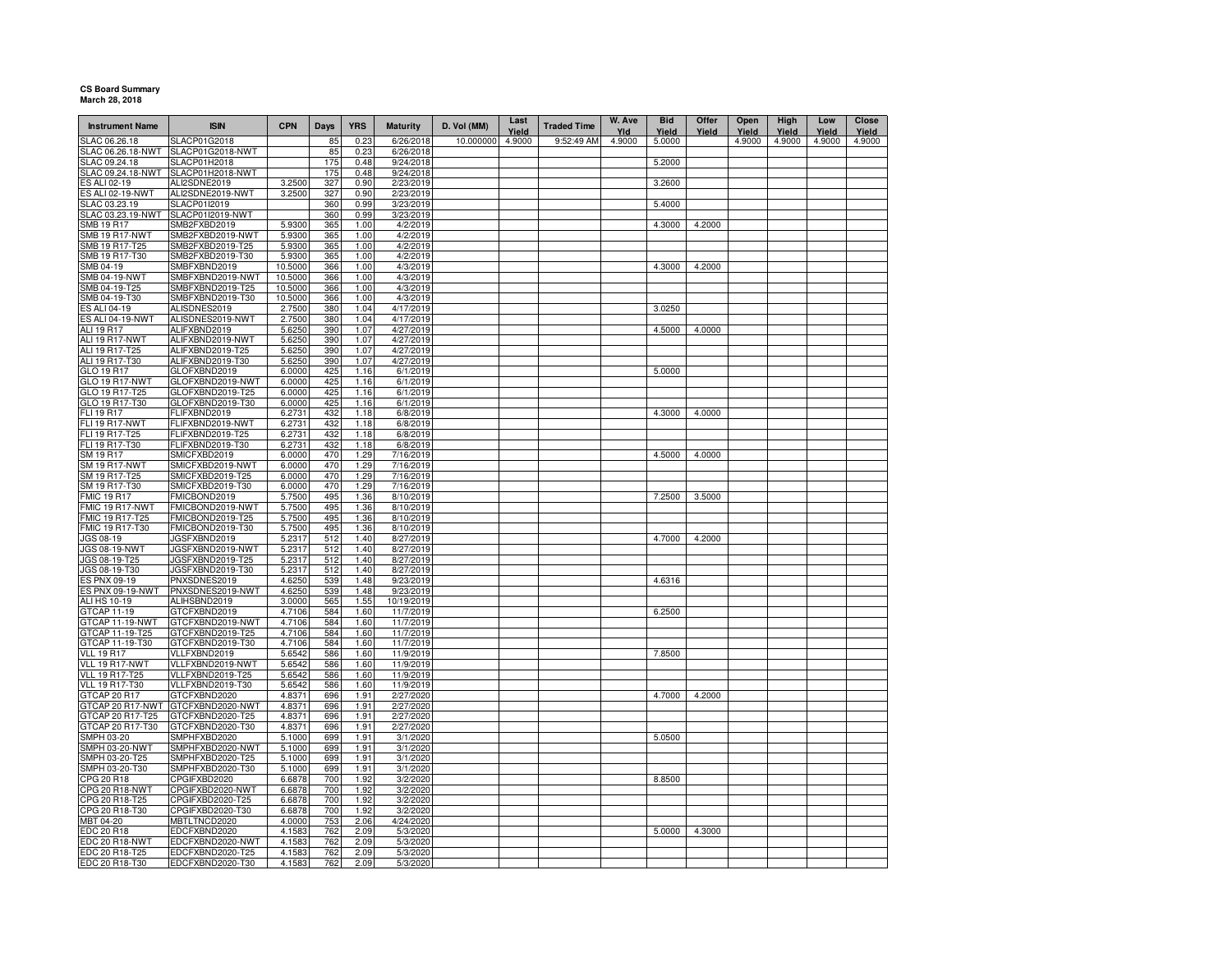## **CS Board Summary March 28, 2018**

| <b>Instrument Name</b>             | <b>ISIN</b>                          | <b>CPN</b>       | Days       | <b>YRS</b>   | <b>Maturity</b>        | D. Vol (MM) | Last<br>Yield | <b>Traded Time</b> | W. Ave<br>Yld | <b>Bid</b><br>Yield | Offer<br>Yield | Open<br>Yield | High<br>Yield | Low<br>Yield | Close<br>Yield |
|------------------------------------|--------------------------------------|------------------|------------|--------------|------------------------|-------------|---------------|--------------------|---------------|---------------------|----------------|---------------|---------------|--------------|----------------|
| SLAC 06.26.18                      | <b>SLACP01G2018</b>                  |                  | 85         | 0.23         | 6/26/2018              | 10.000000   | 4.9000        | 9:52:49 AM         | 4.9000        | 5.0000              |                | 4.9000        | 4.9000        | 4.9000       | 4.9000         |
| SLAC 06.26.18-NWT                  | SLACP01G2018-NWT                     |                  | 85         | 0.23         | 6/26/2018              |             |               |                    |               |                     |                |               |               |              |                |
| SLAC 09.24.18                      | SLACP01H2018                         |                  | 175        | 0.48         | 9/24/2018              |             |               |                    |               | 5.2000              |                |               |               |              |                |
| SLAC 09.24.18-NWT                  | SLACP01H2018-NWT                     |                  | 175        | 0.48         | 9/24/2018              |             |               |                    |               |                     |                |               |               |              |                |
| ES ALI 02-19                       | ALI2SDNE2019                         | 3.2500           | 327        | 0.90         | 2/23/2019              |             |               |                    |               | 3.2600              |                |               |               |              |                |
| ES ALI 02-19-NWT                   | ALI2SDNE2019-NWT                     | 3.2500           | 327        | 0.90         | 2/23/2019              |             |               |                    |               |                     |                |               |               |              |                |
| SLAC 03.23.19                      | SLACP01I2019<br>SLACP01I2019-NWT     |                  | 360<br>360 | 0.99<br>0.99 | 3/23/2019<br>3/23/2019 |             |               |                    |               | 5.4000              |                |               |               |              |                |
| SLAC 03.23.19-NWT<br>SMB 19 R17    | SMB2FXBD2019                         | 5.9300           | 365        | 1.00         | 4/2/2019               |             |               |                    |               | 4.3000              | 4.2000         |               |               |              |                |
| <b>SMB 19 R17-NWT</b>              | SMB2FXBD2019-NWT                     | 5.9300           | 365        | 1.00         | 4/2/2019               |             |               |                    |               |                     |                |               |               |              |                |
| SMB 19 R17-T25                     | SMB2FXBD2019-T25                     | 5.9300           | 365        | 1.00         | 4/2/2019               |             |               |                    |               |                     |                |               |               |              |                |
| SMB 19 R17-T30                     | SMB2FXBD2019-T30                     | 5.9300           | 365        | 1.00         | 4/2/2019               |             |               |                    |               |                     |                |               |               |              |                |
| SMB 04-19                          | SMBFXBND2019                         | 10.5000          | 366        | 1.00         | 4/3/2019               |             |               |                    |               | 4.3000              | 4.2000         |               |               |              |                |
| <b>SMB 04-19-NWT</b>               | SMBFXBND2019-NWT                     | 10.5000          | 366        | 1.00         | 4/3/2019               |             |               |                    |               |                     |                |               |               |              |                |
| SMB 04-19-T25                      | SMBFXBND2019-T25                     | 10.5000          | 366        | 1.00         | 4/3/2019               |             |               |                    |               |                     |                |               |               |              |                |
| SMB 04-19-T30                      | SMBFXBND2019-T30                     | 10.5000          | 366        | 1.00         | 4/3/2019               |             |               |                    |               |                     |                |               |               |              |                |
| <b>ES ALI 04-19</b>                | ALISDNES2019                         | 2.7500           | 380        | 1.04         | 4/17/2019              |             |               |                    |               | 3.0250              |                |               |               |              |                |
| <b>ES ALI 04-19-NWT</b>            | ALISDNES2019-NWT                     | 2.7500           | 380        | 1.04         | 4/17/2019              |             |               |                    |               |                     |                |               |               |              |                |
| <b>ALI 19 R17</b>                  | ALIFXBND2019                         | 5.6250           | 390        | 1.07         | 4/27/2019              |             |               |                    |               | 4.5000              | 4.0000         |               |               |              |                |
| ALI 19 R17-NWT                     | ALIFXBND2019-NWT                     | 5.6250           | 390        | 1.07         | 4/27/2019              |             |               |                    |               |                     |                |               |               |              |                |
| ALI 19 R17-T25                     | ALIFXBND2019-T25                     | 5.6250           | 390        | 1.07         | 4/27/2019              |             |               |                    |               |                     |                |               |               |              |                |
| ALI 19 R17-T30                     | ALIFXBND2019-T30                     | 5.6250           | 390        | 1.07         | 4/27/2019              |             |               |                    |               |                     |                |               |               |              |                |
| GLO 19 R17                         | GLOFXBND2019                         | 6.0000           | 425        | 1.16         | 6/1/2019               |             |               |                    |               | 5.0000              |                |               |               |              |                |
| GLO 19 R17-NWT                     | GLOFXBND2019-NWT                     | 6.0000           | 425        | 1.16         | 6/1/2019               |             |               |                    |               |                     |                |               |               |              |                |
| GLO 19 R17-T25                     | GLOFXBND2019-T25                     | 6.0000           | 425        | 1.16         | 6/1/2019               |             |               |                    |               |                     |                |               |               |              |                |
| GLO 19 R17-T30                     | GLOFXBND2019-T30                     | 6.0000           | 425        | 1.16         | 6/1/2019               |             |               |                    |               |                     |                |               |               |              |                |
| <b>FLI 19 R17</b>                  | FLIFXBND2019                         | 6.2731           | 432        | 1.18         | 6/8/2019               |             |               |                    |               | 4.3000              | 4.0000         |               |               |              |                |
| <b>FLI 19 R17-NWT</b>              | FLIFXBND2019-NWT                     | 6.2731           | 432        | 1.18         | 6/8/2019               |             |               |                    |               |                     |                |               |               |              |                |
| FLI 19 R17-T25                     | FLIFXBND2019-T25                     | 6.2731           | 432        | 1.18         | 6/8/2019               |             |               |                    |               |                     |                |               |               |              |                |
| FLI 19 R17-T30                     | FLIFXBND2019-T30                     | 6.2731           | 432        | 1.18         | 6/8/2019               |             |               |                    |               |                     |                |               |               |              |                |
| SM 19 R17                          | SMICFXBD2019                         | 6.0000           | 470        | 1.29         | 7/16/2019              |             |               |                    |               | 4.5000              | 4.0000         |               |               |              |                |
| SM 19 R17-NWT                      | SMICFXBD2019-NWT                     | 6.0000           | 470        | 1.29         | 7/16/2019              |             |               |                    |               |                     |                |               |               |              |                |
| SM 19 R17-T25                      | SMICFXBD2019-T25                     | 6.0000           | 470        | 1.29         | 7/16/2019              |             |               |                    |               |                     |                |               |               |              |                |
| SM 19 R17-T30                      | SMICFXBD2019-T30                     | 6.0000           | 470        | 1.29         | 7/16/2019              |             |               |                    |               |                     |                |               |               |              |                |
| <b>FMIC 19 R17</b>                 | FMICBOND2019                         | 5.7500           | 495<br>495 | 1.36         | 8/10/2019<br>8/10/2019 |             |               |                    |               | 7.2500              | 3.5000         |               |               |              |                |
| FMIC 19 R17-NWT<br>FMIC 19 R17-T25 | FMICBOND2019-NWT<br>FMICBOND2019-T25 | 5.7500<br>5.7500 | 495        | 1.36<br>1.36 | 8/10/2019              |             |               |                    |               |                     |                |               |               |              |                |
| FMIC 19 R17-T30                    | FMICBOND2019-T30                     | 5.7500           | 495        | 1.36         | 8/10/2019              |             |               |                    |               |                     |                |               |               |              |                |
| JGS 08-19                          | JGSFXBND2019                         | 5.2317           | 512        | 1.40         | 8/27/2019              |             |               |                    |               | 4.7000              | 4.2000         |               |               |              |                |
| <b>JGS 08-19-NWT</b>               | JGSFXBND2019-NWT                     | 5.2317           | 512        | 1.40         | 8/27/2019              |             |               |                    |               |                     |                |               |               |              |                |
| JGS 08-19-T25                      | JGSFXBND2019-T25                     | 5.2317           | 512        | 1.40         | 8/27/2019              |             |               |                    |               |                     |                |               |               |              |                |
| JGS 08-19-T30                      | JGSFXBND2019-T30                     | 5.2317           | 512        | 1.40         | 8/27/2019              |             |               |                    |               |                     |                |               |               |              |                |
| ES PNX 09-19                       | PNXSDNES2019                         | 4.6250           | 539        | 1.48         | 9/23/2019              |             |               |                    |               | 4.6316              |                |               |               |              |                |
| ES PNX 09-19-NWT                   | PNXSDNES2019-NWT                     | 4.6250           | 539        | 1.48         | 9/23/2019              |             |               |                    |               |                     |                |               |               |              |                |
| <b>ALI HS 10-19</b>                | ALIHSBND2019                         | 3.0000           | 565        | 1.55         | 10/19/2019             |             |               |                    |               |                     |                |               |               |              |                |
| GTCAP 11-19                        | GTCFXBND2019                         | 4.7106           | 584        | 1.60         | 11/7/2019              |             |               |                    |               | 6.2500              |                |               |               |              |                |
| GTCAP 11-19-NWT                    | GTCFXBND2019-NWT                     | 4.7106           | 584        | 1.60         | 11/7/2019              |             |               |                    |               |                     |                |               |               |              |                |
| GTCAP 11-19-T25                    | GTCFXBND2019-T25                     | 4.7106           | 584        | 1.60         | 11/7/2019              |             |               |                    |               |                     |                |               |               |              |                |
| GTCAP 11-19-T30                    | GTCFXBND2019-T30                     | 4.7106           | 584        | 1.60         | 11/7/2019              |             |               |                    |               |                     |                |               |               |              |                |
| <b>VLL 19 R17</b>                  | VLLFXBND2019                         | 5.6542           | 586        | 1.60         | 11/9/2019              |             |               |                    |               | 7.8500              |                |               |               |              |                |
| VLL 19 R17-NWT                     | VLLFXBND2019-NWT                     | 5.6542           | 586        | 1.60         | 11/9/2019              |             |               |                    |               |                     |                |               |               |              |                |
| <b>VLL 19 R17-T25</b>              | VLLFXBND2019-T25                     | 5.6542           | 586        | 1.60         | 11/9/2019              |             |               |                    |               |                     |                |               |               |              |                |
| <b>VLL 19 R17-T30</b>              | VLLFXBND2019-T30                     | 5.6542           | 586        | 1.60         | 11/9/2019              |             |               |                    |               |                     |                |               |               |              |                |
| GTCAP 20 R17                       | GTCFXBND2020                         | 4.8371           | 696        | 1.91         | 2/27/2020              |             |               |                    |               | 4.7000              | 4.2000         |               |               |              |                |
| GTCAP 20 R17-NWT                   | GTCFXBND2020-NWT                     | 4.8371           | 696        | 1.91         | 2/27/2020              |             |               |                    |               |                     |                |               |               |              |                |
| GTCAP 20 R17-T25                   | GTCFXBND2020-T25                     | 4.8371           | 696        | 1.91         | 2/27/2020              |             |               |                    |               |                     |                |               |               |              |                |
| GTCAP 20 R17-T30                   | GTCFXBND2020-T30                     | 4.8371           | 696        | 1.91         | 2/27/2020              |             |               |                    |               |                     |                |               |               |              |                |
| SMPH 03-20                         | SMPHFXBD2020                         | 5.1000           | 699        | 1.91         | 3/1/2020               |             |               |                    |               | 5.0500              |                |               |               |              |                |
| SMPH 03-20-NWT<br>SMPH 03-20-T25   | SMPHFXBD2020-NWT<br>SMPHFXBD2020-T25 | 5.1000<br>5.1000 | 699<br>699 | 1.91<br>1.91 | 3/1/2020<br>3/1/2020   |             |               |                    |               |                     |                |               |               |              |                |
|                                    |                                      |                  | 699        | 1.91         |                        |             |               |                    |               |                     |                |               |               |              |                |
| SMPH 03-20-T30                     | SMPHFXBD2020-T30<br>CPGIFXBD2020     | 5.1000<br>6.6878 | 700        | 1.92         | 3/1/2020<br>3/2/2020   |             |               |                    |               | 8.8500              |                |               |               |              |                |
| CPG 20 R18<br>CPG 20 R18-NWT       | CPGIFXBD2020-NWT                     | 6.6878           | 700        | 1.92         | 3/2/2020               |             |               |                    |               |                     |                |               |               |              |                |
| CPG 20 R18-T25                     | CPGIFXBD2020-T25                     | 6.6878           | 700        | 1.92         | 3/2/2020               |             |               |                    |               |                     |                |               |               |              |                |
| CPG 20 R18-T30                     | CPGIFXBD2020-T30                     | 6.6878           | 700        | 1.92         | 3/2/2020               |             |               |                    |               |                     |                |               |               |              |                |
| MBT 04-20                          | MBTLTNCD2020                         | 4.0000           | 753        | 2.06         | 4/24/2020              |             |               |                    |               |                     |                |               |               |              |                |
| <b>EDC 20 R18</b>                  | EDCFXBND2020                         | 4.1583           | 762        | 2.09         | 5/3/2020               |             |               |                    |               | 5.0000              | 4.3000         |               |               |              |                |
| EDC 20 R18-NWT                     | EDCFXBND2020-NWT                     | 4.1583           | 762        | 2.09         | 5/3/2020               |             |               |                    |               |                     |                |               |               |              |                |
|                                    | EDCFXBND2020-T25                     | 4.1583           | 762        | 2.09         | 5/3/2020               |             |               |                    |               |                     |                |               |               |              |                |
| EDC 20 R18-T25<br>EDC 20 R18-T30   | EDCFXBND2020-T30                     | 4.1583           | 762        | 2.09         | 5/3/2020               |             |               |                    |               |                     |                |               |               |              |                |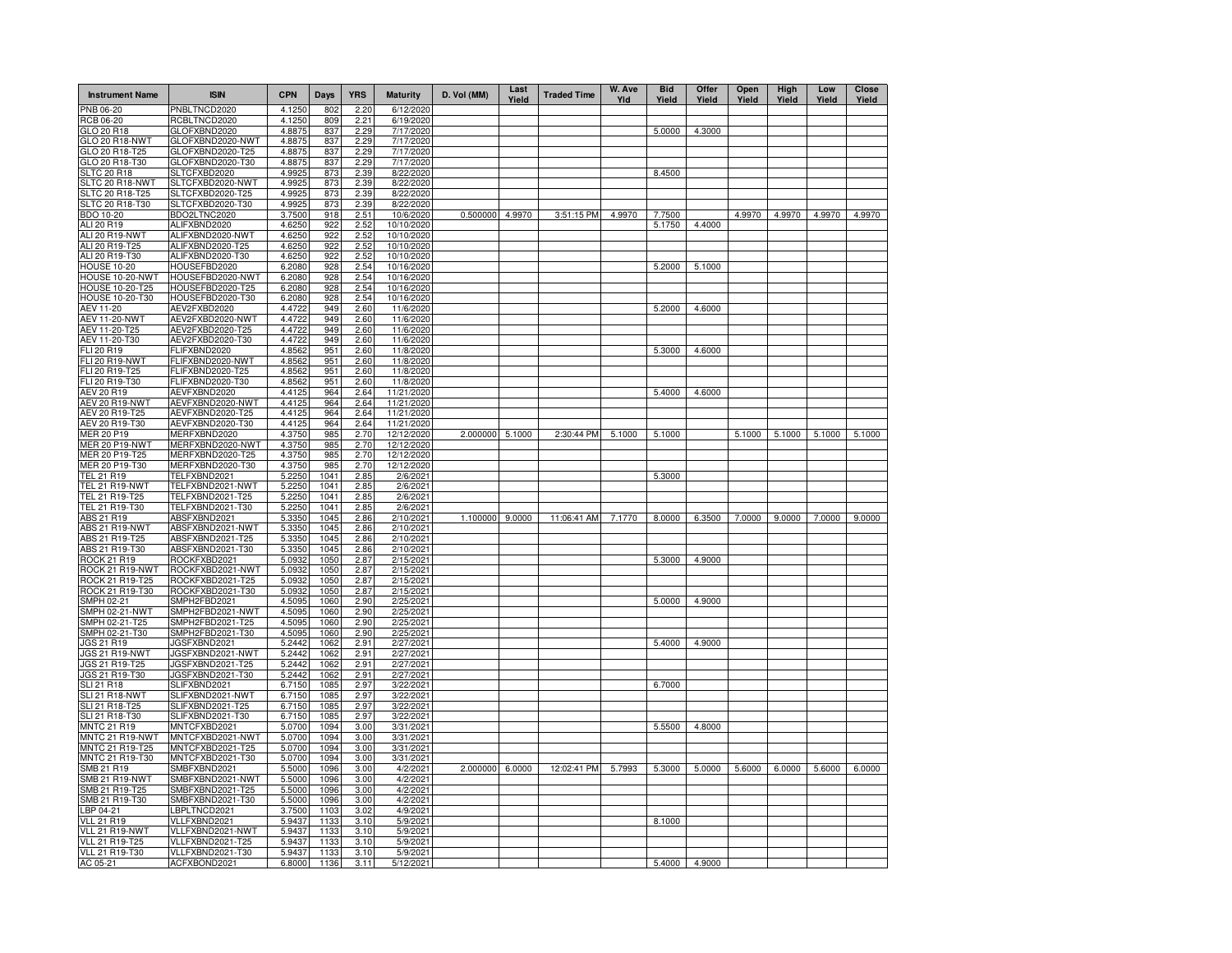| <b>Instrument Name</b>                  | <b>ISIN</b>                          | <b>CPN</b>       | Days         | <b>YRS</b>   | <b>Maturity</b>          | D. Vol (MM)     | Last<br>Yield | <b>Traded Time</b> | W. Ave<br>Yld | <b>Bid</b><br>Yield | Offer<br>Yield | Open<br>Yield | High<br>Yield | Low<br>Yield | Close<br>Yield |
|-----------------------------------------|--------------------------------------|------------------|--------------|--------------|--------------------------|-----------------|---------------|--------------------|---------------|---------------------|----------------|---------------|---------------|--------------|----------------|
| PNB 06-20                               | PNBLTNCD2020                         | 4.1250           | 802          | 2.20         | 6/12/2020                |                 |               |                    |               |                     |                |               |               |              |                |
| RCB 06-20                               | RCBLTNCD2020                         | 4.1250           | 809          | 2.21         | 6/19/2020                |                 |               |                    |               |                     |                |               |               |              |                |
| GLO 20 R18                              | GLOFXBND2020                         | 4.8875           | 837          | 2.29         | 7/17/2020                |                 |               |                    |               | 5.0000              | 4.3000         |               |               |              |                |
| GLO 20 R18-NWT<br>GLO 20 R18-T25        | GLOFXBND2020-NWT<br>GLOFXBND2020-T25 | 4.8875<br>4.8875 | 837<br>837   | 2.29<br>2.29 | 7/17/2020<br>7/17/2020   |                 |               |                    |               |                     |                |               |               |              |                |
| GLO 20 R18-T30                          | GLOFXBND2020-T30                     | 4.8875           | 837          | 2.29         | 7/17/2020                |                 |               |                    |               |                     |                |               |               |              |                |
| <b>SLTC 20 R18</b>                      | SLTCFXBD2020                         | 4.9925           | 873          | 2.39         | 8/22/2020                |                 |               |                    |               | 8.4500              |                |               |               |              |                |
| SLTC 20 R18-NWT                         | SLTCFXBD2020-NWT                     | 4.9925           | 873          | 2.39         | 8/22/2020                |                 |               |                    |               |                     |                |               |               |              |                |
| SLTC 20 R18-T25                         | SLTCFXBD2020-T25                     | 4.9925           | 873          | 2.39         | 8/22/2020                |                 |               |                    |               |                     |                |               |               |              |                |
| SLTC 20 R18-T30                         | SLTCFXBD2020-T30                     | 4.9925           | 873          | 2.39         | 8/22/2020                |                 |               |                    |               |                     |                |               |               |              |                |
| BDO 10-20                               | BDO2LTNC2020                         | 3.7500           | 918          | 2.51         | 10/6/2020                | 0.500000        | 4.9970        | 3:51:15 PM         | 4.9970        | 7.7500              |                | 4.9970        | 4.9970        | 4.9970       | 4.9970         |
| ALI 20 R19<br>ALI 20 R19-NWT            | ALIFXBND2020<br>ALIFXBND2020-NWT     | 4.6250<br>4.6250 | 922<br>922   | 2.52<br>2.52 | 10/10/2020<br>10/10/2020 |                 |               |                    |               | 5.1750              | 4.4000         |               |               |              |                |
| ALI 20 R19-T25                          | ALIFXBND2020-T25                     | 4.6250           | 922          | 2.52         | 10/10/2020               |                 |               |                    |               |                     |                |               |               |              |                |
| ALI 20 R19-T30                          | ALIFXBND2020-T30                     | 4.6250           | 922          | 2.52         | 10/10/2020               |                 |               |                    |               |                     |                |               |               |              |                |
| <b>HOUSE 10-20</b>                      | HOUSEFBD2020                         | 6.2080           | 928          | 2.54         | 10/16/2020               |                 |               |                    |               | 5.2000              | 5.1000         |               |               |              |                |
| HOUSE 10-20-NWT                         | HOUSEFBD2020-NWT                     | 6.2080           | 928          | 2.54         | 10/16/2020               |                 |               |                    |               |                     |                |               |               |              |                |
| HOUSE 10-20-T25                         | HOUSEFBD2020-T25                     | 6.2080           | 928          | 2.54         | 10/16/2020               |                 |               |                    |               |                     |                |               |               |              |                |
| <b>HOUSE 10-20-T30</b>                  | HOUSEFBD2020-T30                     | 6.2080           | 928          | 2.54         | 10/16/2020               |                 |               |                    |               |                     |                |               |               |              |                |
| AEV 11-20                               | AEV2FXBD2020                         | 4.4722           | 949          | 2.60         | 11/6/2020                |                 |               |                    |               | 5.2000              | 4.6000         |               |               |              |                |
| <b>AEV 11-20-NWT</b><br>AEV 11-20-T25   | AEV2FXBD2020-NWT<br>AEV2FXBD2020-T25 | 4.4722<br>4.4722 | 949<br>949   | 2.60<br>2.60 | 11/6/2020<br>11/6/2020   |                 |               |                    |               |                     |                |               |               |              |                |
| AEV 11-20-T30                           | AEV2FXBD2020-T30                     | 4.4722           | 949          | 2.60         | 11/6/2020                |                 |               |                    |               |                     |                |               |               |              |                |
| FLI 20 R19                              | FLIFXBND2020                         | 4.8562           | 951          | 2.60         | 11/8/2020                |                 |               |                    |               | 5.3000              | 4.6000         |               |               |              |                |
| FLI 20 R19-NWT                          | FLIFXBND2020-NWT                     | 4.8562           | 951          | 2.60         | 11/8/2020                |                 |               |                    |               |                     |                |               |               |              |                |
| FLI 20 R19-T25                          | FLIFXBND2020-T25                     | 4.8562           | 951          | 2.60         | 11/8/2020                |                 |               |                    |               |                     |                |               |               |              |                |
| FLI 20 R19-T30                          | FLIFXBND2020-T30                     | 4.8562           | 951          | 2.60         | 11/8/2020                |                 |               |                    |               |                     |                |               |               |              |                |
| AEV 20 R19                              | AEVFXBND2020                         | 4.4125           | 964          | 2.64         | 11/21/2020               |                 |               |                    |               | 5.4000              | 4.6000         |               |               |              |                |
| AEV 20 R19-NWT                          | AEVFXBND2020-NWT                     | 4.4125           | 964          | 2.64         | 11/21/2020               |                 |               |                    |               |                     |                |               |               |              |                |
| AEV 20 R19-T25                          | AEVFXBND2020-T25                     | 4.4125           | 964          | 2.64         | 11/21/2020               |                 |               |                    |               |                     |                |               |               |              |                |
| AEV 20 R19-T30                          | AEVFXBND2020-T30                     | 4.4125           | 964          | 2.64         | 11/21/2020               | 2.000000 5.1000 |               | 2:30:44 PM         | 5.1000        | 5.1000              |                | 5.1000        |               |              | 5.1000         |
| MER 20 P19<br><b>MER 20 P19-NWT</b>     | MERFXBND2020<br>MERFXBND2020-NWT     | 4.3750<br>4.3750 | 985<br>985   | 2.70<br>2.70 | 12/12/2020<br>12/12/2020 |                 |               |                    |               |                     |                |               | 5.1000        | 5.1000       |                |
| MER 20 P19-T25                          | MERFXBND2020-T25                     | 4.3750           | 985          | 2.70         | 12/12/2020               |                 |               |                    |               |                     |                |               |               |              |                |
| MER 20 P19-T30                          | MERFXBND2020-T30                     | 4.3750           | 985          | 2.70         | 12/12/2020               |                 |               |                    |               |                     |                |               |               |              |                |
| TEL 21 R19                              | TELFXBND2021                         | 5.2250           | 1041         | 2.85         | 2/6/2021                 |                 |               |                    |               | 5.3000              |                |               |               |              |                |
| TEL 21 R19-NWT                          | TELFXBND2021-NWT                     | 5.2250           | 1041         | 2.85         | 2/6/202                  |                 |               |                    |               |                     |                |               |               |              |                |
| TEL 21 R19-T25                          | TELFXBND2021-T25                     | 5.2250           | 1041         | 2.85         | 2/6/2021                 |                 |               |                    |               |                     |                |               |               |              |                |
| TEL 21 R19-T30                          | TELFXBND2021-T30                     | 5.2250           | 1041         | 2.85         | 2/6/202                  |                 |               |                    |               |                     |                |               |               |              |                |
| ABS 21 R19                              | ABSFXBND2021                         | 5.3350           | 1045         | 2.86         | 2/10/2021                | 1.100000        | 9.0000        | 11:06:41 AM        | 7.1770        | 8.0000              | 6.3500         | 7.0000        | 9.0000        | 7.0000       | 9.0000         |
| ABS 21 R19-NWT<br>ABS 21 R19-T25        | ABSFXBND2021-NWT<br>ABSFXBND2021-T25 | 5.3350<br>5.3350 | 1045<br>1045 | 2.86<br>2.86 | 2/10/2021<br>2/10/2021   |                 |               |                    |               |                     |                |               |               |              |                |
| ABS 21 R19-T30                          | ABSFXBND2021-T30                     | 5.3350           | 1045         | 2.86         | 2/10/2021                |                 |               |                    |               |                     |                |               |               |              |                |
| ROCK 21 R19                             | ROCKFXBD2021                         | 5.0932           | 1050         | 2.87         | 2/15/2021                |                 |               |                    |               | 5.3000              | 4.9000         |               |               |              |                |
| ROCK 21 R19-NWT                         | ROCKFXBD2021-NWT                     | 5.0932           | 1050         | 2.87         | 2/15/2021                |                 |               |                    |               |                     |                |               |               |              |                |
| ROCK 21 R19-T25                         | ROCKFXBD2021-T25                     | 5.0932           | 1050         | 2.87         | 2/15/2021                |                 |               |                    |               |                     |                |               |               |              |                |
| ROCK 21 R19-T30                         | ROCKFXBD2021-T30                     | 5.0932           | 1050         | 2.87         | 2/15/2021                |                 |               |                    |               |                     |                |               |               |              |                |
| SMPH 02-21                              | SMPH2FBD2021                         | 4.5095           | 1060         | 2.90         | 2/25/2021                |                 |               |                    |               | 5.0000              | 4.9000         |               |               |              |                |
| <b>SMPH 02-21-NWT</b><br>SMPH 02-21-T25 | SMPH2FBD2021-NWT<br>SMPH2FBD2021-T25 | 4.5095<br>4.5095 | 1060<br>1060 | 2.90<br>2.90 | 2/25/2021<br>2/25/2021   |                 |               |                    |               |                     |                |               |               |              |                |
| SMPH 02-21-T30                          | SMPH2FBD2021-T30                     | 4.5095           | 1060         | 2.90         | 2/25/2021                |                 |               |                    |               |                     |                |               |               |              |                |
| JGS 21 R19                              | JGSFXBND2021                         | 5.2442           | 1062         | 2.91         | 2/27/2021                |                 |               |                    |               | 5.4000              | 4.9000         |               |               |              |                |
| JGS 21 R19-NWT                          | JGSFXBND2021-NWT                     | 5.2442           | 1062         | 2.91         | 2/27/2021                |                 |               |                    |               |                     |                |               |               |              |                |
| JGS 21 R19-T25                          | JGSFXBND2021-T25                     | 5.2442           | 1062         | 2.91         | 2/27/2021                |                 |               |                    |               |                     |                |               |               |              |                |
| JGS 21 R19-T30                          | JGSFXBND2021-T30                     | 5.2442           | 1062         | 2.91         | 2/27/2021                |                 |               |                    |               |                     |                |               |               |              |                |
| SLI 21 R18                              | SLIFXBND2021                         | 6.7150           | 1085         | 2.97         | 3/22/2021                |                 |               |                    |               | 6.7000              |                |               |               |              |                |
| SLI 21 R18-NWT                          | SLIFXBND2021-NWT                     | 6.7150           | 1085         | 2.97         | 3/22/2021                |                 |               |                    |               |                     |                |               |               |              |                |
| SLI 21 R18-T25<br>SLI 21 R18-T30        | SLIFXBND2021-T25<br>SLIFXBND2021-T30 | 6.7150<br>6.7150 | 1085<br>1085 | 2.97<br>2.97 | 3/22/2021<br>3/22/202    |                 |               |                    |               |                     |                |               |               |              |                |
| <b>MNTC 21 R19</b>                      | MNTCFXBD2021                         | 5.0700           | 1094         | 3.00         | 3/31/2021                |                 |               |                    |               | 5.5500              | 4.8000         |               |               |              |                |
| MNTC 21 R19-NWT                         | MNTCFXBD2021-NWT                     | 5.0700           | 1094         | 3.00         | 3/31/202                 |                 |               |                    |               |                     |                |               |               |              |                |
| MNTC 21 R19-T25                         | MNTCFXBD2021-T25                     | 5.0700           | 1094         | 3.00         | 3/31/2021                |                 |               |                    |               |                     |                |               |               |              |                |
| MNTC 21 R19-T30                         | MNTCFXBD2021-T30                     | 5.0700           | 1094         | 3.00         | 3/31/202                 |                 |               |                    |               |                     |                |               |               |              |                |
| SMB 21 R19                              | SMBFXBND2021                         | 5.5000           | 1096         | 3.00         | 4/2/202                  | 2.000000 6.0000 |               | 12:02:41 PM        | 5.7993        | 5.3000              | 5.0000         | 5.6000        | 6.0000        | 5.6000       | 6.0000         |
| SMB 21 R19-NWT                          | SMBFXBND2021-NWT                     | 5.5000           | 1096         | 3.00         | 4/2/202                  |                 |               |                    |               |                     |                |               |               |              |                |
| SMB 21 R19-T25                          | SMBFXBND2021-T25                     | 5.5000           | 1096         | 3.00         | 4/2/202                  |                 |               |                    |               |                     |                |               |               |              |                |
| SMB 21 R19-T30                          | SMBFXBND2021-T30                     | 5.5000           | 1096         | 3.00         | 4/2/202                  |                 |               |                    |               |                     |                |               |               |              |                |
| LBP 04-21<br><b>VLL 21 R19</b>          | LBPLTNCD2021<br>VLLFXBND2021         | 3.7500<br>5.9437 | 1103<br>1133 | 3.02<br>3.10 | 4/9/2021<br>5/9/2021     |                 |               |                    |               | 8.1000              |                |               |               |              |                |
| VLL 21 R19-NWT                          | VLLFXBND2021-NWT                     | 5.943            | 1133         | 3.10         | 5/9/2021                 |                 |               |                    |               |                     |                |               |               |              |                |
| <b>VLL 21 R19-T25</b>                   | VLLFXBND2021-T25                     | 5.9437           | 1133         | 3.10         | 5/9/2021                 |                 |               |                    |               |                     |                |               |               |              |                |
| VLL 21 R19-T30                          | VLLFXBND2021-T30                     | 5.9437           | 1133         | 3.10         | 5/9/2021                 |                 |               |                    |               |                     |                |               |               |              |                |
| AC 05-21                                | ACFXBOND2021                         | 6.8000           | 1136         | 3.11         | 5/12/2021                |                 |               |                    |               | 5.4000              | 4.9000         |               |               |              |                |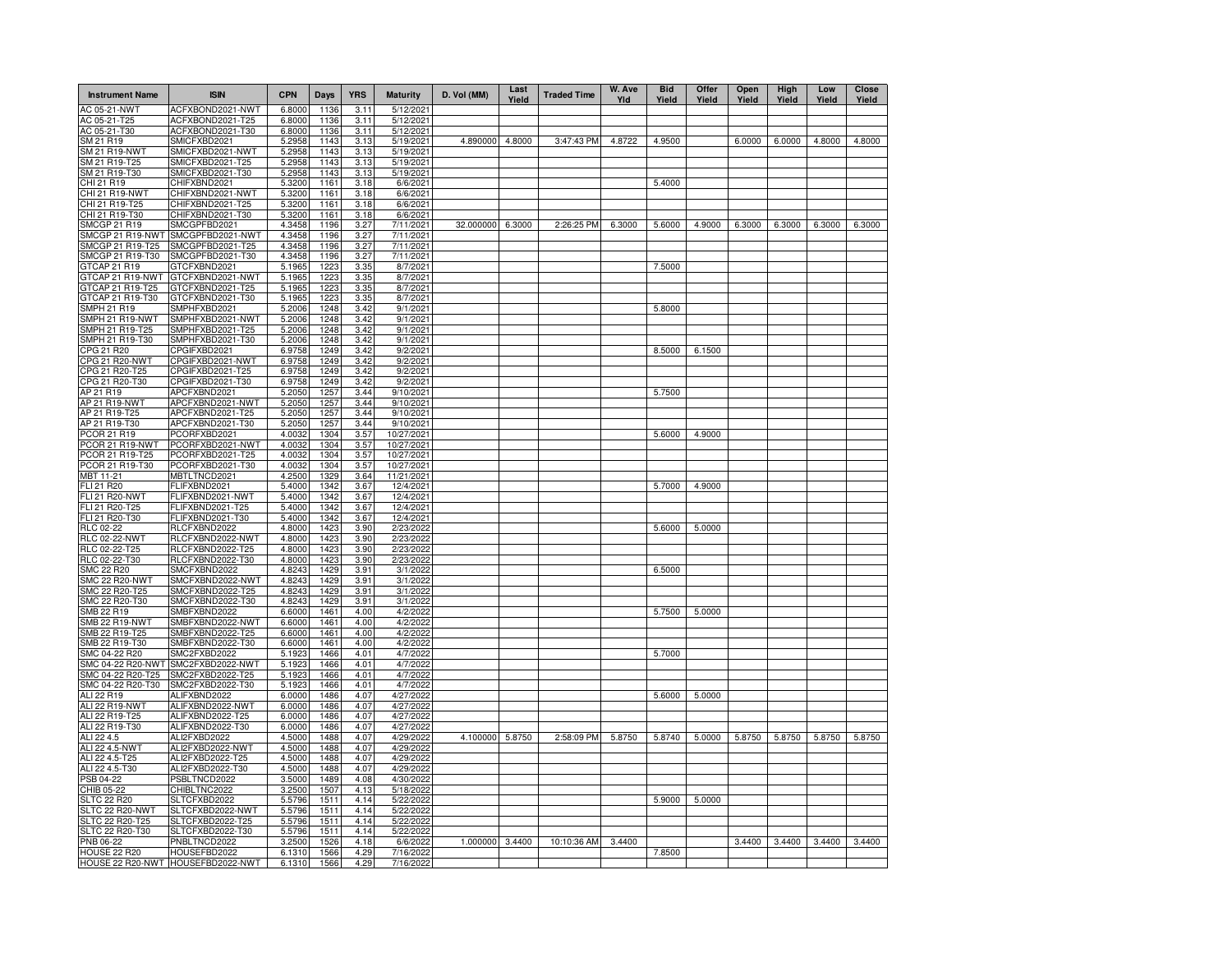| <b>Instrument Name</b>                 | <b>ISIN</b>                          | <b>CPN</b>       | Days         | <b>YRS</b>   | <b>Maturity</b>          | D. Vol (MM)      | Last<br>Yield | <b>Traded Time</b> | W. Ave<br>Yld | <b>Bid</b><br>Yield | Offer<br>Yield | Open<br>Yield | High<br>Yield | Low<br>Yield | Close<br>Yield |
|----------------------------------------|--------------------------------------|------------------|--------------|--------------|--------------------------|------------------|---------------|--------------------|---------------|---------------------|----------------|---------------|---------------|--------------|----------------|
| AC 05-21-NWT                           | ACFXBOND2021-NWT                     | 6.8000           | 1136         | 3.11         | 5/12/2021                |                  |               |                    |               |                     |                |               |               |              |                |
| AC 05-21-T25                           | ACFXBOND2021-T25                     | 6.8000           | 1136         | 3.11         | 5/12/2021                |                  |               |                    |               |                     |                |               |               |              |                |
| AC 05-21-T30<br>SM 21 R19              | ACFXBOND2021-T30<br>SMICFXBD2021     | 6.8000<br>5.2958 | 1136<br>1143 | 3.11<br>3.13 | 5/12/2021<br>5/19/2021   | 4.890000 4.8000  |               | 3:47:43 PM         | 4.8722        | 4.9500              |                | 6.0000        | 6.0000        | 4.8000       | 4.8000         |
| <b>SM 21 R19-NWT</b>                   | SMICFXBD2021-NWT                     | 5.2958           | 1143         | 3.13         | 5/19/2021                |                  |               |                    |               |                     |                |               |               |              |                |
| SM 21 R19-T25                          | SMICFXBD2021-T25                     | 5.2958           | 1143         | 3.13         | 5/19/2021                |                  |               |                    |               |                     |                |               |               |              |                |
| SM 21 R19-T30                          | SMICFXBD2021-T30                     | 5.2958           | 1143         | 3.13         | 5/19/2021                |                  |               |                    |               |                     |                |               |               |              |                |
| CHI 21 R19                             | CHIFXBND2021                         | 5.3200           | 1161         | 3.18         | 6/6/2021                 |                  |               |                    |               | 5.4000              |                |               |               |              |                |
| CHI 21 R19-NWT                         | CHIFXBND2021-NWT                     | 5.3200           | 1161         | 3.18         | 6/6/2021                 |                  |               |                    |               |                     |                |               |               |              |                |
| CHI 21 R19-T25                         | CHIFXBND2021-T25                     | 5.3200           | 1161         | 3.18         | 6/6/2021                 |                  |               |                    |               |                     |                |               |               |              |                |
| CHI 21 R19-T30<br><b>SMCGP 21 R19</b>  | CHIFXBND2021-T30                     | 5.3200           | 1161<br>1196 | 3.18         | 6/6/2021                 | 32.000000 6.3000 |               |                    |               |                     |                |               |               |              |                |
| SMCGP 21 R19-NWT                       | SMCGPFBD2021<br>SMCGPFBD2021-NWT     | 4.3458<br>4.3458 | 1196         | 3.27<br>3.27 | 7/11/2021<br>7/11/2021   |                  |               | 2:26:25 PM         | 6.3000        | 5.6000              | 4.9000         | 6.3000        | 6.3000        | 6.3000       | 6.3000         |
| SMCGP 21 R19-T25                       | SMCGPFBD2021-T25                     | 4.3458           | 1196         | 3.27         | 7/11/2021                |                  |               |                    |               |                     |                |               |               |              |                |
| SMCGP 21 R19-T30                       | SMCGPFBD2021-T30                     | 4.3458           | 1196         | 3.27         | 7/11/2021                |                  |               |                    |               |                     |                |               |               |              |                |
| GTCAP 21 R19                           | GTCFXBND2021                         | 5.1965           | 1223         | 3.35         | 8/7/2021                 |                  |               |                    |               | 7.5000              |                |               |               |              |                |
| GTCAP 21 R19-NWT                       | GTCFXBND2021-NWT                     | 5.1965           | 1223         | 3.35         | 8/7/2021                 |                  |               |                    |               |                     |                |               |               |              |                |
| GTCAP 21 R19-T25                       | GTCFXBND2021-T25                     | 5.1965           | 1223         | 3.35         | 8/7/2021                 |                  |               |                    |               |                     |                |               |               |              |                |
| GTCAP 21 R19-T30                       | GTCFXBND2021-T30                     | 5.1965           | 1223         | 3.35         | 8/7/2021                 |                  |               |                    |               |                     |                |               |               |              |                |
| SMPH 21 R19                            | SMPHFXBD2021                         | 5.2006           | 1248         | 3.42         | 9/1/2021                 |                  |               |                    |               | 5.8000              |                |               |               |              |                |
| SMPH 21 R19-NWT                        | SMPHFXBD2021-NWT                     | 5.2006           | 1248         | 3.42         | 9/1/2021                 |                  |               |                    |               |                     |                |               |               |              |                |
| SMPH 21 R19-T25                        | SMPHFXBD2021-T25                     | 5.2006           | 1248         | 3.42         | 9/1/2021                 |                  |               |                    |               |                     |                |               |               |              |                |
| SMPH 21 R19-T30<br>CPG 21 R20          | SMPHFXBD2021-T30<br>CPGIFXBD2021     | 5.2006<br>6.9758 | 1248<br>1249 | 3.42<br>3.42 | 9/1/2021<br>9/2/2021     |                  |               |                    |               | 8.5000              | 6.1500         |               |               |              |                |
| CPG 21 R20-NWT                         | CPGIFXBD2021-NWT                     | 6.9758           | 1249         | 3.42         | 9/2/2021                 |                  |               |                    |               |                     |                |               |               |              |                |
| CPG 21 R20-T25                         | CPGIFXBD2021-T25                     | 6.9758           | 1249         | 3.42         | 9/2/2021                 |                  |               |                    |               |                     |                |               |               |              |                |
| CPG 21 R20-T30                         | CPGIFXBD2021-T30                     | 6.9758           | 1249         | 3.42         | 9/2/2021                 |                  |               |                    |               |                     |                |               |               |              |                |
| AP 21 R19                              | APCFXBND2021                         | 5.2050           | 1257         | 3.44         | 9/10/2021                |                  |               |                    |               | 5.7500              |                |               |               |              |                |
| <b>AP 21 R19-NWT</b>                   | APCFXBND2021-NWT                     | 5.2050           | 1257         | 3.44         | 9/10/2021                |                  |               |                    |               |                     |                |               |               |              |                |
| AP 21 R19-T25                          | APCFXBND2021-T25                     | 5.2050           | 1257         | 3.44         | 9/10/2021                |                  |               |                    |               |                     |                |               |               |              |                |
| AP 21 R19-T30                          | APCFXBND2021-T30                     | 5.2050           | 1257         | 3.44         | 9/10/2021                |                  |               |                    |               |                     |                |               |               |              |                |
| PCOR 21 R19                            | PCORFXBD2021                         | 4.0032           | 1304         | 3.57         | 10/27/2021               |                  |               |                    |               | 5.6000              | 4.9000         |               |               |              |                |
| PCOR 21 R19-NWT<br>PCOR 21 R19-T25     | PCORFXBD2021-NWT                     | 4.0032<br>4.0032 | 1304<br>1304 | 3.57         | 10/27/2021               |                  |               |                    |               |                     |                |               |               |              |                |
| PCOR 21 R19-T30                        | PCORFXBD2021-T25<br>PCORFXBD2021-T30 | 4.0032           | 1304         | 3.57<br>3.57 | 10/27/2021<br>10/27/2021 |                  |               |                    |               |                     |                |               |               |              |                |
| MBT 11-21                              | MBTLTNCD2021                         | 4.2500           | 1329         | 3.64         | 11/21/2021               |                  |               |                    |               |                     |                |               |               |              |                |
| FLI 21 R20                             | FLIFXBND2021                         | 5.4000           | 1342         | 3.67         | 12/4/2021                |                  |               |                    |               | 5.7000              | 4.9000         |               |               |              |                |
| <b>FLI 21 R20-NWT</b>                  | FLIFXBND2021-NWT                     | 5.4000           | 1342         | 3.67         | 12/4/2021                |                  |               |                    |               |                     |                |               |               |              |                |
| FLI 21 R20-T25                         | FLIFXBND2021-T25                     | 5.4000           | 1342         | 3.67         | 12/4/2021                |                  |               |                    |               |                     |                |               |               |              |                |
| FLI 21 R20-T30                         | FLIFXBND2021-T30                     | 5.4000           | 1342         | 3.67         | 12/4/2021                |                  |               |                    |               |                     |                |               |               |              |                |
| <b>RLC 02-22</b>                       | RLCFXBND2022                         | 4.8000           | 1423         | 3.90         | 2/23/2022                |                  |               |                    |               | 5.6000              | 5.0000         |               |               |              |                |
| <b>RLC 02-22-NWT</b>                   | RLCFXBND2022-NWT                     | 4.8000           | 1423         | 3.90         | 2/23/2022                |                  |               |                    |               |                     |                |               |               |              |                |
| RLC 02-22-T25                          | RLCFXBND2022-T25                     | 4.8000<br>4.8000 | 1423<br>1423 | 3.90         | 2/23/2022<br>2/23/2022   |                  |               |                    |               |                     |                |               |               |              |                |
| RLC 02-22-T30<br><b>SMC 22 R20</b>     | RLCFXBND2022-T30<br>SMCFXBND2022     | 4.8243           | 1429         | 3.90<br>3.91 | 3/1/2022                 |                  |               |                    |               | 6.5000              |                |               |               |              |                |
| <b>SMC 22 R20-NWT</b>                  | SMCFXBND2022-NWT                     | 4.8243           | 1429         | 3.91         | 3/1/2022                 |                  |               |                    |               |                     |                |               |               |              |                |
| SMC 22 R20-T25                         | SMCFXBND2022-T25                     | 4.8243           | 1429         | 3.91         | 3/1/2022                 |                  |               |                    |               |                     |                |               |               |              |                |
| SMC 22 R20-T30                         | SMCFXBND2022-T30                     | 4.8243           | 1429         | 3.91         | 3/1/2022                 |                  |               |                    |               |                     |                |               |               |              |                |
| SMB 22 R19                             | SMBFXBND2022                         | 6.6000           | 1461         | 4.00         | 4/2/2022                 |                  |               |                    |               | 5.7500              | 5.0000         |               |               |              |                |
| <b>SMB 22 R19-NWT</b>                  | SMBFXBND2022-NWT                     | 6.6000           | 1461         | 4.00         | 4/2/2022                 |                  |               |                    |               |                     |                |               |               |              |                |
| SMB 22 R19-T25                         | SMBFXBND2022-T25                     | 6.6000           | 1461         | 4.00         | 4/2/2022                 |                  |               |                    |               |                     |                |               |               |              |                |
| SMB 22 R19-T30                         | SMBFXBND2022-T30                     | 6.6000           | 1461         | 4.00         | 4/2/2022                 |                  |               |                    |               |                     |                |               |               |              |                |
| SMC 04-22 R20                          | SMC2FXBD2022                         | 5.1923           | 1466         | 4.01         | 4/7/2022                 |                  |               |                    |               | 5.7000              |                |               |               |              |                |
| SMC 04-22 R20-NWT                      | SMC2FXBD2022-NWT                     | 5.1923           | 1466         | 4.01         | 4/7/2022                 |                  |               |                    |               |                     |                |               |               |              |                |
| SMC 04-22 R20-T25<br>SMC 04-22 R20-T30 | SMC2FXBD2022-T25<br>SMC2FXBD2022-T30 | 5.1923<br>5.1923 | 1466<br>1466 | 4.01<br>4.01 | 4/7/2022<br>4/7/2022     |                  |               |                    |               |                     |                |               |               |              |                |
| ALI 22 R19                             | ALIFXBND2022                         | 6.0000           | 1486         | 4.07         | 4/27/2022                |                  |               |                    |               | 5.6000              | 5.0000         |               |               |              |                |
| ALI 22 R19-NWT                         | ALIFXBND2022-NWT                     | 6.0000           | 1486         | 4.07         | 4/27/2022                |                  |               |                    |               |                     |                |               |               |              |                |
| ALI 22 R19-T25                         | ALIFXBND2022-T25                     | 6.0000           | 1486         | 4.07         | 4/27/2022                |                  |               |                    |               |                     |                |               |               |              |                |
| ALI 22 R19-T30                         | ALIFXBND2022-T30                     | 6.0000           | 1486         | 4.07         | 4/27/2022                |                  |               |                    |               |                     |                |               |               |              |                |
| ALI 22 4.5                             | ALI2FXBD2022                         | 4.5000           | 1488         | 4.07         | 4/29/2022                | 4.100000 5.8750  |               | 2:58:09 PM         | 5.8750        | 5.8740              | 5.0000         | 5.8750        | 5.8750        | 5.8750       | 5.8750         |
| ALI 22 4.5-NWT                         | ALI2FXBD2022-NWT                     | 4.5000           | 1488         | 4.07         | 4/29/2022                |                  |               |                    |               |                     |                |               |               |              |                |
| ALI 22 4.5-T25                         | ALI2FXBD2022-T25                     | 4.5000           | 1488         | 4.07         | 4/29/2022                |                  |               |                    |               |                     |                |               |               |              |                |
| ALI 22 4.5-T30                         | ALI2FXBD2022-T30                     | 4.5000           | 1488         | 4.07         | 4/29/2022                |                  |               |                    |               |                     |                |               |               |              |                |
| PSB 04-22                              | PSBLTNCD2022                         | 3.5000           | 1489         | 4.08         | 4/30/2022                |                  |               |                    |               |                     |                |               |               |              |                |
| CHIB 05-22<br><b>SLTC 22 R20</b>       | CHIBLTNC2022<br>SLTCFXBD2022         | 3.2500<br>5.5796 | 1507<br>1511 | 4.13<br>4.14 | 5/18/2022<br>5/22/2022   |                  |               |                    |               |                     |                |               |               |              |                |
| SLTC 22 R20-NWT                        | SLTCFXBD2022-NWT                     | 5.5796           | 1511         | 4.14         | 5/22/2022                |                  |               |                    |               | 5.9000              | 5.0000         |               |               |              |                |
| SLTC 22 R20-T25                        | SLTCFXBD2022-T25                     | 5.5796           | 1511         | 4.14         | 5/22/2022                |                  |               |                    |               |                     |                |               |               |              |                |
| SLTC 22 R20-T30                        | SLTCFXBD2022-T30                     | 5.5796           | 1511         | 4.14         | 5/22/2022                |                  |               |                    |               |                     |                |               |               |              |                |
| <b>PNB 06-22</b>                       | PNBLTNCD2022                         | 3.2500           | 1526         | 4.18         | 6/6/2022                 | 1.000000         | 3.4400        | 10:10:36 AM        | 3.4400        |                     |                | 3.4400        | 3.4400        | 3.4400       | 3.4400         |
| <b>HOUSE 22 R20</b>                    | HOUSEFBD2022                         | 6.1310           | 1566         | 4.29         | 7/16/2022                |                  |               |                    |               | 7.8500              |                |               |               |              |                |
|                                        | HOUSE 22 R20-NWT HOUSEFBD2022-NWT    | 6.1310           | 1566         | 4.29         | 7/16/2022                |                  |               |                    |               |                     |                |               |               |              |                |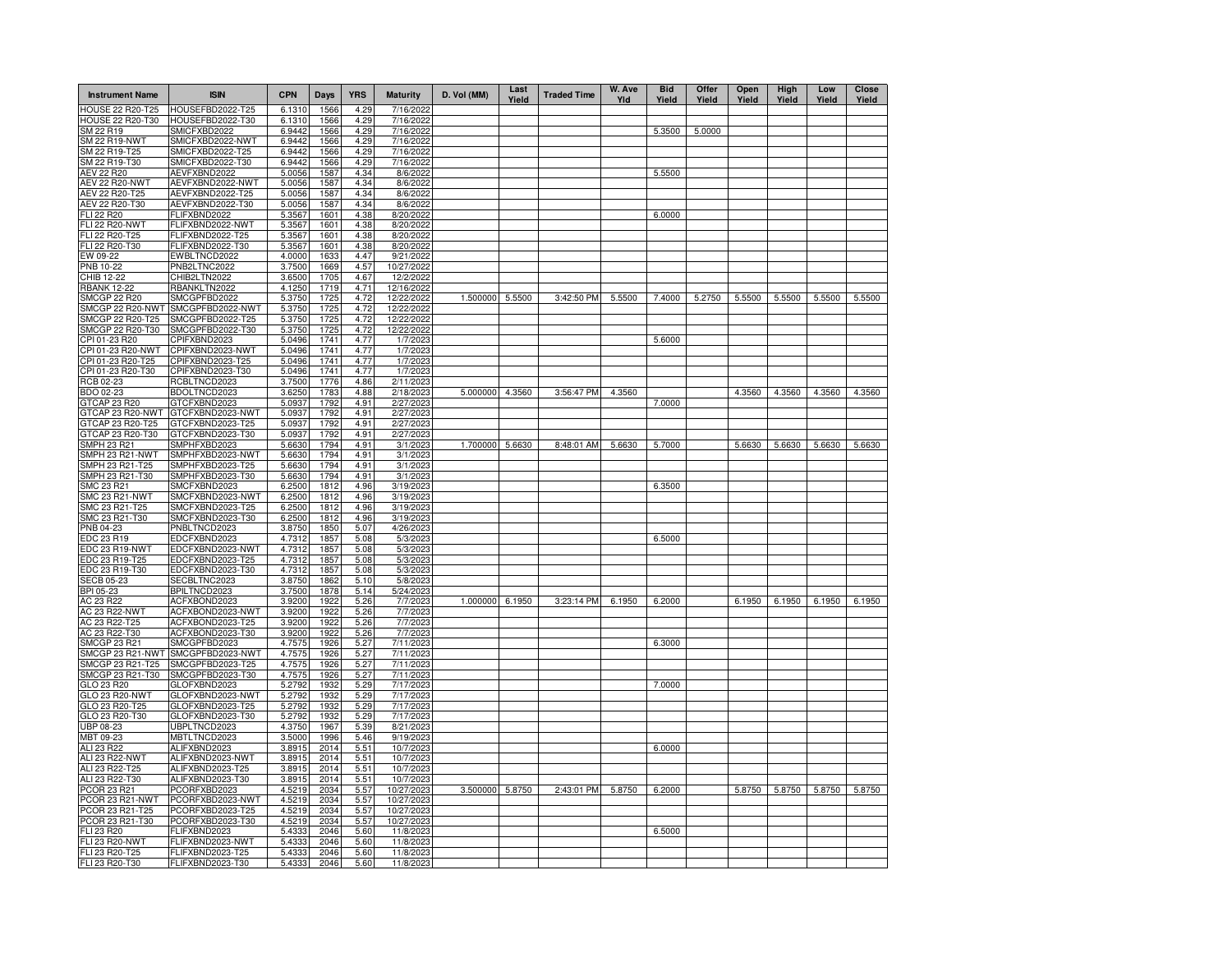| <b>Instrument Name</b>               | <b>ISIN</b>                          | <b>CPN</b>       | Days         | <b>YRS</b>   | <b>Maturity</b>          | D. Vol (MM)     | Last<br>Yield | <b>Traded Time</b> | W. Ave<br>Yld | <b>Bid</b><br>Yield | Offer<br>Yield | Open<br>Yield | High<br>Yield | Low<br>Yield  | Close<br>Yield |
|--------------------------------------|--------------------------------------|------------------|--------------|--------------|--------------------------|-----------------|---------------|--------------------|---------------|---------------------|----------------|---------------|---------------|---------------|----------------|
| <b>HOUSE 22 R20-T25</b>              | HOUSEFBD2022-T25                     | 6.1310           | 1566         | 4.29         | 7/16/2022                |                 |               |                    |               |                     |                |               |               |               |                |
| <b>HOUSE 22 R20-T30</b>              | HOUSEFBD2022-T30                     | 6.1310           | 1566         | 4.29         | 7/16/2022                |                 |               |                    |               |                     |                |               |               |               |                |
| SM 22 R19<br>SM 22 R19-NWT           | SMICFXBD2022<br>SMICFXBD2022-NWT     | 6.9442<br>6.9442 | 1566<br>1566 | 4.29<br>4.29 | 7/16/2022<br>7/16/2022   |                 |               |                    |               | 5.3500              | 5.0000         |               |               |               |                |
| SM 22 R19-T25                        | SMICFXBD2022-T25                     | 6.9442           | 1566         | 4.29         | 7/16/2022                |                 |               |                    |               |                     |                |               |               |               |                |
| SM 22 R19-T30                        | SMICFXBD2022-T30                     | 6.9442           | 1566         | 4.29         | 7/16/2022                |                 |               |                    |               |                     |                |               |               |               |                |
| <b>AEV 22 R20</b>                    | AEVFXBND2022                         | 5.0056           | 1587         | 4.34         | 8/6/2022                 |                 |               |                    |               | 5.5500              |                |               |               |               |                |
| <b>AEV 22 R20-NWT</b>                | AEVFXBND2022-NWT                     | 5.0056           | 1587         | 4.34         | 8/6/2022                 |                 |               |                    |               |                     |                |               |               |               |                |
| AEV 22 R20-T25                       | AEVFXBND2022-T25                     | 5.0056           | 1587         | 4.34         | 8/6/2022                 |                 |               |                    |               |                     |                |               |               |               |                |
| AEV 22 R20-T30                       | AEVFXBND2022-T30                     | 5.0056           | 1587         | 4.34         | 8/6/2022                 |                 |               |                    |               |                     |                |               |               |               |                |
| FLI 22 R20<br><b>FLI 22 R20-NWT</b>  | FLIFXBND2022<br>FLIFXBND2022-NWT     | 5.3567<br>5.3567 | 1601<br>1601 | 4.38<br>4.38 | 8/20/2022<br>8/20/2022   |                 |               |                    |               | 6.0000              |                |               |               |               |                |
| FLI 22 R20-T25                       | FLIFXBND2022-T25                     | 5.3567           | 1601         | 4.38         | 8/20/2022                |                 |               |                    |               |                     |                |               |               |               |                |
| FLI 22 R20-T30                       | FLIFXBND2022-T30                     | 5.3567           | 1601         | 4.38         | 8/20/2022                |                 |               |                    |               |                     |                |               |               |               |                |
| EW 09-22                             | EWBLTNCD2022                         | 4.0000           | 1633         | 4.47         | 9/21/2022                |                 |               |                    |               |                     |                |               |               |               |                |
| PNB 10-22                            | PNB2LTNC2022                         | 3.7500           | 1669         | 4.57         | 10/27/2022               |                 |               |                    |               |                     |                |               |               |               |                |
| CHIB 12-22                           | CHIB2LTN2022                         | 3.6500           | 1705         | 4.67         | 12/2/2022                |                 |               |                    |               |                     |                |               |               |               |                |
| <b>RBANK 12-22</b>                   | RBANKLTN2022                         | 4.1250           | 1719         | 4.71         | 12/16/2022               |                 |               |                    |               |                     |                |               |               |               |                |
| <b>SMCGP 22 R20</b>                  | SMCGPFBD2022                         | 5.3750           | 1725         | 4.72         | 12/22/2022               | 1.500000        | 5.5500        | 3:42:50 PM         | 5.5500        | 7.4000              | 5.2750         | 5.5500        | 5.5500        | 5.5500        | 5.5500         |
| SMCGP 22 R20-NWT<br>SMCGP 22 R20-T25 | SMCGPFBD2022-NWT<br>SMCGPFBD2022-T25 | 5.3750<br>5.3750 | 1725<br>1725 | 4.72<br>4.72 | 12/22/2022<br>12/22/2022 |                 |               |                    |               |                     |                |               |               |               |                |
| SMCGP 22 R20-T30                     | SMCGPFBD2022-T30                     | 5.3750           | 1725         | 4.72         | 12/22/2022               |                 |               |                    |               |                     |                |               |               |               |                |
| CPI 01-23 R20                        | CPIFXBND2023                         | 5.0496           | 1741         | 4.77         | 1/7/2023                 |                 |               |                    |               | 5.6000              |                |               |               |               |                |
| CPI 01-23 R20-NWT                    | CPIFXBND2023-NWT                     | 5.0496           | 1741         | 4.77         | 1/7/2023                 |                 |               |                    |               |                     |                |               |               |               |                |
| CPI 01-23 R20-T25                    | CPIFXBND2023-T25                     | 5.0496           | 1741         | 4.77         | 1/7/2023                 |                 |               |                    |               |                     |                |               |               |               |                |
| CPI 01-23 R20-T30                    | CPIFXBND2023-T30                     | 5.0496           | 1741         | 4.77         | 1/7/2023                 |                 |               |                    |               |                     |                |               |               |               |                |
| RCB 02-23                            | RCBLTNCD2023                         | 3.7500           | 1776         | 4.86         | 2/11/2023                |                 |               |                    |               |                     |                |               |               |               |                |
| BDO 02-23                            | BDOLTNCD2023                         | 3.6250           | 1783         | 4.88         | 2/18/2023                | 5.000000        | 4.3560        | 3:56:47 PM         | 4.3560        |                     |                | 4.3560        | 4.3560        | 4.3560        | 4.3560         |
| GTCAP 23 R20                         | GTCFXBND2023                         | 5.0937           | 1792         | 4.91         | 2/27/2023                |                 |               |                    |               | 7.0000              |                |               |               |               |                |
| GTCAP 23 R20-NWT                     | GTCFXBND2023-NWT                     | 5.0937           | 1792         | 4.91         | 2/27/2023                |                 |               |                    |               |                     |                |               |               |               |                |
| GTCAP 23 R20-T25<br>GTCAP 23 R20-T30 | GTCFXBND2023-T25<br>GTCFXBND2023-T30 | 5.0937<br>5.0937 | 1792<br>1792 | 4.91<br>4.91 | 2/27/2023<br>2/27/2023   |                 |               |                    |               |                     |                |               |               |               |                |
| <b>SMPH 23 R21</b>                   | SMPHFXBD2023                         | 5.6630           | 1794         | 4.91         | 3/1/2023                 | 1.700000        | 5.6630        | 8:48:01 AM         | 5.6630        | 5.7000              |                | 5.6630        | 5.6630        | 5.6630        | 5.6630         |
| SMPH 23 R21-NWT                      | SMPHFXBD2023-NWT                     | 5.6630           | 1794         | 4.91         | 3/1/2023                 |                 |               |                    |               |                     |                |               |               |               |                |
| SMPH 23 R21-T25                      | SMPHFXBD2023-T25                     | 5.6630           | 1794         | 4.91         | 3/1/2023                 |                 |               |                    |               |                     |                |               |               |               |                |
| SMPH 23 R21-T30                      | SMPHFXBD2023-T30                     | 5.6630           | 1794         | 4.91         | 3/1/2023                 |                 |               |                    |               |                     |                |               |               |               |                |
| <b>SMC 23 R21</b>                    | SMCFXBND2023                         | 6.2500           | 1812         | 4.96         | 3/19/2023                |                 |               |                    |               | 6.3500              |                |               |               |               |                |
| <b>SMC 23 R21-NWT</b>                | SMCFXBND2023-NWT                     | 6.2500           | 1812         | 4.96         | 3/19/2023                |                 |               |                    |               |                     |                |               |               |               |                |
| SMC 23 R21-T25                       | SMCFXBND2023-T25                     | 6.2500           | 1812         | 4.96         | 3/19/2023                |                 |               |                    |               |                     |                |               |               |               |                |
| SMC 23 R21-T30<br>PNB 04-23          | SMCFXBND2023-T30<br>PNBLTNCD2023     | 6.2500<br>3.8750 | 1812<br>1850 | 4.96<br>5.07 | 3/19/2023<br>4/26/2023   |                 |               |                    |               |                     |                |               |               |               |                |
| EDC 23 R19                           | EDCFXBND2023                         | 4.7312           | 1857         | 5.08         | 5/3/2023                 |                 |               |                    |               | 6.5000              |                |               |               |               |                |
| EDC 23 R19-NWT                       | EDCFXBND2023-NWT                     | 4.7312           | 1857         | 5.08         | 5/3/2023                 |                 |               |                    |               |                     |                |               |               |               |                |
| EDC 23 R19-T25                       | EDCFXBND2023-T25                     | 4.7312           | 1857         | 5.08         | 5/3/2023                 |                 |               |                    |               |                     |                |               |               |               |                |
| EDC 23 R19-T30                       | EDCFXBND2023-T30                     | 4.7312           | 1857         | 5.08         | 5/3/2023                 |                 |               |                    |               |                     |                |               |               |               |                |
| <b>SECB 05-23</b>                    | SECBLTNC2023                         | 3.8750           | 1862         | 5.10         | 5/8/2023                 |                 |               |                    |               |                     |                |               |               |               |                |
| BPI 05-23                            | BPILTNCD2023                         | 3.7500           | 1878         | 5.14         | 5/24/2023                |                 |               |                    |               |                     |                |               |               |               |                |
| AC 23 R22                            | ACFXBOND2023                         | 3.9200           | 1922         | 5.26         | 7/7/2023                 | 1.000000 6.1950 |               | 3:23:14 PM         | 6.1950        | 6.2000              |                | 6.1950        | 6.1950        | 6.1950        | 6.1950         |
| AC 23 R22-NWT                        | ACFXBOND2023-NWT                     | 3.9200           | 1922         | 5.26         | 7/7/2023                 |                 |               |                    |               |                     |                |               |               |               |                |
| AC 23 R22-T25<br>AC 23 R22-T30       | ACFXBOND2023-T25<br>ACFXBOND2023-T30 | 3.9200<br>3.9200 | 1922<br>1922 | 5.26<br>5.26 | 7/7/2023<br>7/7/2023     |                 |               |                    |               |                     |                |               |               |               |                |
| SMCGP 23 R21                         | SMCGPFBD2023                         | 4.7575           | 1926         | 5.27         | 7/11/2023                |                 |               |                    |               | 6.3000              |                |               |               |               |                |
|                                      | SMCGP 23 R21-NWT SMCGPFBD2023-NWT    | 4.7575           | 1926         | 5.27         | 7/11/2023                |                 |               |                    |               |                     |                |               |               |               |                |
| SMCGP 23 R21-T25                     | SMCGPFBD2023-T25                     | 4.7575           | 1926         | 5.27         | 7/11/2023                |                 |               |                    |               |                     |                |               |               |               |                |
| SMCGP 23 R21-T30                     | SMCGPFBD2023-T30                     | 4.7575           | 1926         | 5.27         | 7/11/2023                |                 |               |                    |               |                     |                |               |               |               |                |
| GLO 23 R20                           | GLOFXBND2023                         | 5.2792           | 1932         | 5.29         | 7/17/2023                |                 |               |                    |               | 7.0000              |                |               |               |               |                |
| GLO 23 R20-NWT                       | GLOFXBND2023-NWT                     | 5.2792           | 1932         | 5.29         | 7/17/2023                |                 |               |                    |               |                     |                |               |               |               |                |
| GLO 23 R20-T25                       | GLOFXBND2023-T25                     | 5.2792           | 1932         | 5.29         | 7/17/2023                |                 |               |                    |               |                     |                |               |               |               |                |
| GLO 23 R20-T30                       | GLOFXBND2023-T30                     | 5.2792           | 1932<br>1967 | 5.29         | 7/17/2023                |                 |               |                    |               |                     |                |               |               |               |                |
| UBP 08-23<br>MBT 09-23               | UBPLTNCD2023<br>MBTLTNCD2023         | 4.3750<br>3.5000 | 1996         | 5.39<br>5.46 | 8/21/2023<br>9/19/2023   |                 |               |                    |               |                     |                |               |               |               |                |
| ALI 23 R22                           | ALIFXBND2023                         | 3.8915           | 2014         | 5.51         | 10/7/2023                |                 |               |                    |               | 6.0000              |                |               |               |               |                |
| ALI 23 R22-NWT                       | ALIFXBND2023-NWT                     | 3.8915           | 2014         | 5.51         | 10/7/2023                |                 |               |                    |               |                     |                |               |               |               |                |
| ALI 23 R22-T25                       | ALIFXBND2023-T25                     | 3.8915           | 2014         | 5.51         | 10/7/2023                |                 |               |                    |               |                     |                |               |               |               |                |
| ALI 23 R22-T30                       | ALIFXBND2023-T30                     | 3.8915           | 2014         | 5.51         | 10/7/2023                |                 |               |                    |               |                     |                |               |               |               |                |
| PCOR 23 R21                          | PCORFXBD2023                         | 4.5219           | 2034         | 5.57         | 10/27/2023               | 3.500000 5.8750 |               | 2:43:01 PM         | 5.8750        | 6.2000              |                | 5.8750        |               | 5.8750 5.8750 | 5.8750         |
| PCOR 23 R21-NWT                      | PCORFXBD2023-NWT                     | 4.5219           | 2034         | 5.57         | 10/27/2023               |                 |               |                    |               |                     |                |               |               |               |                |
| PCOR 23 R21-T25                      | PCORFXBD2023-T25                     | 4.5219           | 2034         | 5.57         | 10/27/2023               |                 |               |                    |               |                     |                |               |               |               |                |
| PCOR 23 R21-T30                      | PCORFXBD2023-T30                     | 4.5219           | 2034<br>2046 | 5.57         | 10/27/2023               |                 |               |                    |               |                     |                |               |               |               |                |
| FLI 23 R20<br><b>FLI 23 R20-NWT</b>  | FLIFXBND2023<br>FLIFXBND2023-NWT     | 5.4333<br>5.4333 | 2046         | 5.60<br>5.60 | 11/8/2023<br>11/8/2023   |                 |               |                    |               | 6.5000              |                |               |               |               |                |
| FLI 23 R20-T25                       | FLIFXBND2023-T25                     | 5.4333           | 2046         | 5.60         | 11/8/2023                |                 |               |                    |               |                     |                |               |               |               |                |
| FLI 23 R20-T30                       | FLIFXBND2023-T30                     | 5.4333           | 2046         | 5.60         | 11/8/2023                |                 |               |                    |               |                     |                |               |               |               |                |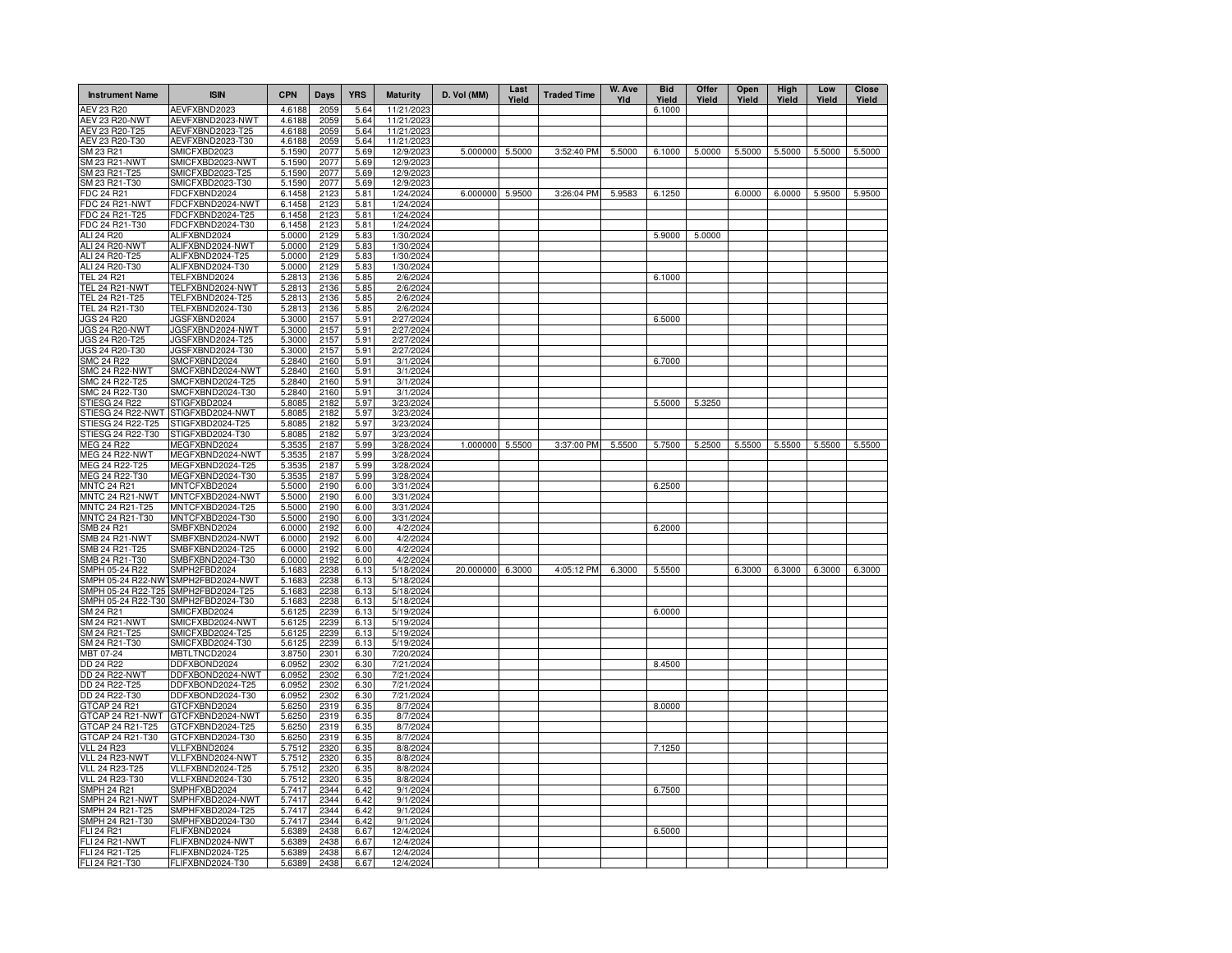| <b>Instrument Name</b>                  | <b>ISIN</b>                          | <b>CPN</b>       | Days         | <b>YRS</b>   | <b>Maturity</b>        | D. Vol (MM) | Last<br>Yield | <b>Traded Time</b> | W. Ave<br>Yld | <b>Bid</b><br>Yield | Offer<br>Yield | Open<br>Yield | High<br>Yield | Low<br>Yield | Close<br>Yield |
|-----------------------------------------|--------------------------------------|------------------|--------------|--------------|------------------------|-------------|---------------|--------------------|---------------|---------------------|----------------|---------------|---------------|--------------|----------------|
| <b>AEV 23 R20</b>                       | AEVFXBND2023                         | 4.6188           | 2059         | 5.64         | 11/21/202              |             |               |                    |               | 6.1000              |                |               |               |              |                |
| <b>AEV 23 R20-NWT</b>                   | AEVFXBND2023-NWT                     | 4.6188           | 2059         | 5.64         | 11/21/202              |             |               |                    |               |                     |                |               |               |              |                |
| AEV 23 R20-T25                          | AEVFXBND2023-T25                     | 4.6188           | 2059         | 5.64         | 11/21/202              |             |               |                    |               |                     |                |               |               |              |                |
| AEV 23 R20-T30                          | AEVFXBND2023-T30                     | 4.6188           | 2059         | 5.64         | 11/21/202              |             |               |                    |               |                     |                |               |               |              |                |
| SM 23 R21                               | SMICFXBD2023                         | 5.1590           | 2077         | 5.69         | 12/9/202               | 5.000000    | 5.5000        | 3:52:40 PM         | 5.5000        | 6.1000              | 5.0000         | 5.5000        | 5.5000        | 5.5000       | 5.5000         |
| SM 23 R21-NWT                           | SMICFXBD2023-NWT                     | 5.1590           | 2077         | 5.69         | 12/9/202               |             |               |                    |               |                     |                |               |               |              |                |
| SM 23 R21-T25                           | SMICFXBD2023-T25                     | 5.1590           | 2077         | 5.69         | 12/9/202               |             |               |                    |               |                     |                |               |               |              |                |
| SM 23 R21-T30                           | SMICFXBD2023-T30                     | 5.1590           | 2077         | 5.69         | 12/9/202               |             |               |                    |               |                     |                |               |               |              |                |
| FDC 24 R21                              | FDCFXBND2024                         | 6.1458           | 2123         | 5.81         | 1/24/2024              | 6.000000    | 5.9500        | 3:26:04 PM         | 5.9583        | 6.1250              |                | 6.0000        | 6.0000        | 5.9500       | 5.9500         |
| FDC 24 R21-NWT                          | FDCFXBND2024-NWT                     | 6.1458           | 2123         | 5.81         | 1/24/2024              |             |               |                    |               |                     |                |               |               |              |                |
| FDC 24 R21-T25                          | FDCFXBND2024-T25                     | 6.1458           | 2123         | 5.81         | 1/24/2024              |             |               |                    |               |                     |                |               |               |              |                |
| FDC 24 R21-T30                          | FDCFXBND2024-T30                     | 6.1458           | 2123         | 5.81         | 1/24/2024              |             |               |                    |               |                     |                |               |               |              |                |
| ALI 24 R20                              | ALIFXBND2024                         | 5.0000           | 2129         | 5.83         | 1/30/2024              |             |               |                    |               | 5.9000              | 5.0000         |               |               |              |                |
| ALI 24 R20-NWT                          | ALIFXBND2024-NWT                     | 5.0000           | 2129         | 5.83         | 1/30/2024              |             |               |                    |               |                     |                |               |               |              |                |
| ALI 24 R20-T25<br>ALI 24 R20-T30        | ALIFXBND2024-T25<br>ALIFXBND2024-T30 | 5.0000<br>5.0000 | 2129<br>2129 | 5.83<br>5.83 | 1/30/2024<br>1/30/2024 |             |               |                    |               |                     |                |               |               |              |                |
| <b>TEL 24 R21</b>                       | TELFXBND2024                         | 5.2813           | 2136         | 5.85         | 2/6/2024               |             |               |                    |               | 6.1000              |                |               |               |              |                |
| <b>TEL 24 R21-NWT</b>                   | TELFXBND2024-NWT                     | 5.2813           | 2136         | 5.85         | 2/6/2024               |             |               |                    |               |                     |                |               |               |              |                |
| TEL 24 R21-T25                          | TELFXBND2024-T25                     | 5.2813           | 2136         | 5.85         | 2/6/2024               |             |               |                    |               |                     |                |               |               |              |                |
| TEL 24 R21-T30                          | TELFXBND2024-T30                     | 5.2813           | 2136         | 5.85         | 2/6/2024               |             |               |                    |               |                     |                |               |               |              |                |
| <b>JGS 24 R20</b>                       | JGSFXBND2024                         | 5.3000           | 2157         | 5.91         | 2/27/2024              |             |               |                    |               | 6.5000              |                |               |               |              |                |
| JGS 24 R20-NWT                          | JGSFXBND2024-NWT                     | 5.3000           | 2157         | 5.91         | 2/27/2024              |             |               |                    |               |                     |                |               |               |              |                |
| JGS 24 R20-T25                          | JGSFXBND2024-T25                     | 5.3000           | 2157         | 5.91         | 2/27/2024              |             |               |                    |               |                     |                |               |               |              |                |
| JGS 24 R20-T30                          | JGSFXBND2024-T30                     | 5.3000           | 2157         | 5.91         | 2/27/2024              |             |               |                    |               |                     |                |               |               |              |                |
| <b>SMC 24 R22</b>                       | SMCFXBND2024                         | 5.2840           | 2160         | 5.91         | 3/1/2024               |             |               |                    |               | 6.7000              |                |               |               |              |                |
| SMC 24 R22-NWT                          | SMCFXBND2024-NWT                     | 5.2840           | 2160         | 5.91         | 3/1/2024               |             |               |                    |               |                     |                |               |               |              |                |
| SMC 24 R22-T25                          | SMCFXBND2024-T25                     | 5.2840           | 2160         | 5.91         | 3/1/2024               |             |               |                    |               |                     |                |               |               |              |                |
| SMC 24 R22-T30                          | SMCFXBND2024-T30                     | 5.2840           | 2160         | 5.91         | 3/1/2024               |             |               |                    |               |                     |                |               |               |              |                |
| STIESG 24 R22                           | STIGFXBD2024                         | 5.8085           | 2182         | 5.97         | 3/23/2024              |             |               |                    |               | 5.5000              | 5.3250         |               |               |              |                |
| STIESG 24 R22-NWT                       | STIGFXBD2024-NWT                     | 5.8085           | 2182         | 5.97         | 3/23/2024              |             |               |                    |               |                     |                |               |               |              |                |
| STIESG 24 R22-T25                       | STIGFXBD2024-T25                     | 5.8085           | 2182         | 5.97         | 3/23/2024              |             |               |                    |               |                     |                |               |               |              |                |
| STIESG 24 R22-T30                       | STIGFXBD2024-T30                     | 5.8085           | 2182         | 5.97         | 3/23/2024              |             |               |                    |               |                     |                |               |               |              |                |
| MEG 24 R22                              | MEGFXBND2024                         | 5.3535           | 2187         | 5.99         | 3/28/2024              | 1.000000    | 5.5500        | 3:37:00 PM         | 5.5500        | 5.7500              | 5.2500         | 5.5500        | 5.5500        | 5.5500       | 5.5500         |
| MEG 24 R22-NWT                          | MEGFXBND2024-NWT                     | 5.3535           | 2187         | 5.99         | 3/28/2024              |             |               |                    |               |                     |                |               |               |              |                |
| MEG 24 R22-T25                          | MEGFXBND2024-T25                     | 5.3535           | 2187         | 5.99         | 3/28/2024              |             |               |                    |               |                     |                |               |               |              |                |
| MEG 24 R22-T30                          | MEGFXBND2024-T30                     | 5.3535           | 2187         | 5.99         | 3/28/2024              |             |               |                    |               |                     |                |               |               |              |                |
| <b>MNTC 24 R21</b>                      | MNTCFXBD2024                         | 5.5000           | 2190         | 6.00         | 3/31/2024              |             |               |                    |               | 6.2500              |                |               |               |              |                |
| MNTC 24 R21-NWT                         | MNTCFXBD2024-NWT                     | 5.5000           | 2190         | 6.00         | 3/31/2024              |             |               |                    |               |                     |                |               |               |              |                |
| MNTC 24 R21-T25                         | MNTCFXBD2024-T25                     | 5.5000           | 2190         | 6.00         | 3/31/2024              |             |               |                    |               |                     |                |               |               |              |                |
| MNTC 24 R21-T30                         | MNTCFXBD2024-T30                     | 5.5000           | 2190         | 6.00         | 3/31/2024              |             |               |                    |               |                     |                |               |               |              |                |
| <b>SMB 24 R21</b>                       | SMBFXBND2024                         | 6.0000           | 2192         | 6.00         | 4/2/2024               |             |               |                    |               | 6.2000              |                |               |               |              |                |
| <b>SMB 24 R21-NWT</b>                   | SMBFXBND2024-NWT                     | 6.0000           | 2192         | 6.00         | 4/2/2024               |             |               |                    |               |                     |                |               |               |              |                |
| SMB 24 R21-T25                          | SMBFXBND2024-T25                     | 6.0000           | 2192         | 6.00         | 4/2/2024               |             |               |                    |               |                     |                |               |               |              |                |
| SMB 24 R21-T30                          | SMBFXBND2024-T30                     | 6.0000           | 2192         | 6.00         | 4/2/2024               |             |               |                    |               |                     |                |               |               |              |                |
| SMPH 05-24 R22                          | SMPH2FBD2024                         | 5.1683           | 2238         | 6.13         | 5/18/2024              | 20.000000   | 6.3000        | 4:05:12 PM         | 6.3000        | 5.5500              |                | 6.3000        | 6.3000        | 6.3000       | 6.3000         |
| SMPH 05-24 R22-NW<br>SMPH 05-24 R22-T25 | SMPH2FBD2024-NWT<br>SMPH2FBD2024-T25 | 5.1683<br>5.1683 | 2238<br>2238 | 6.13<br>6.13 | 5/18/2024<br>5/18/2024 |             |               |                    |               |                     |                |               |               |              |                |
| SMPH 05-24 R22-T30                      | SMPH2FBD2024-T30                     | 5.1683           | 2238         | 6.13         | 5/18/2024              |             |               |                    |               |                     |                |               |               |              |                |
| SM 24 R21                               | SMICFXBD2024                         | 5.6125           | 2239         | 6.13         | 5/19/2024              |             |               |                    |               | 6.0000              |                |               |               |              |                |
| SM 24 R21-NWT                           | SMICFXBD2024-NWT                     | 5.6125           | 2239         | 6.13         | 5/19/2024              |             |               |                    |               |                     |                |               |               |              |                |
| SM 24 R21-T25                           | SMICFXBD2024-T25                     | 5.6125           | 2239         | 6.13         | 5/19/2024              |             |               |                    |               |                     |                |               |               |              |                |
| SM 24 R21-T30                           | SMICFXBD2024-T30                     | 5.6125           | 2239         | 6.13         | 5/19/2024              |             |               |                    |               |                     |                |               |               |              |                |
| MBT 07-24                               | MBTLTNCD2024                         | 3.8750           | 2301         | 6.30         | 7/20/2024              |             |               |                    |               |                     |                |               |               |              |                |
| DD 24 R22                               | DDFXBOND2024                         | 6.0952           | 2302         | 6.30         | 7/21/2024              |             |               |                    |               | 8.4500              |                |               |               |              |                |
| DD 24 R22-NW1                           | DDFXBOND2024-NWT                     | 6.0952           | 2302         | 6.30         | 7/21/2024              |             |               |                    |               |                     |                |               |               |              |                |
| DD 24 R22-T25                           | DDFXBOND2024-T25                     | 6.0952           | 2302         | 6.30         | 7/21/2024              |             |               |                    |               |                     |                |               |               |              |                |
| DD 24 R22-T30                           | DDFXBOND2024-T30                     | 6.0952           | 2302         | 6.30         | 7/21/2024              |             |               |                    |               |                     |                |               |               |              |                |
| GTCAP 24 R21                            | GTCFXBND2024                         | 5.6250           | 2319         | 6.35         | 8/7/2024               |             |               |                    |               | 8.0000              |                |               |               |              |                |
| GTCAP 24 R21-NWT                        | GTCFXBND2024-NWT                     | 5.6250           | 2319         | 6.35         | 8/7/2024               |             |               |                    |               |                     |                |               |               |              |                |
| GTCAP 24 R21-T25                        | GTCFXBND2024-T25                     | 5.6250           | 2319         | 6.35         | 8/7/2024               |             |               |                    |               |                     |                |               |               |              |                |
| GTCAP 24 R21-T30                        | GTCFXBND2024-T30                     | 5.6250           | 2319         | 6.35         | 8/7/2024               |             |               |                    |               |                     |                |               |               |              |                |
| <b>VLL 24 R23</b>                       | VLLFXBND2024                         | 5.7512           | 2320         | 6.35         | 8/8/2024               |             |               |                    |               | 7.1250              |                |               |               |              |                |
| VLL 24 R23-NWT                          | VLLFXBND2024-NWT                     | 5.7512           | 2320         | 6.35         | 8/8/2024               |             |               |                    |               |                     |                |               |               |              |                |
| VLL 24 R23-T25                          | VLLFXBND2024-T25                     | 5.7512           | 2320         | 6.35         | 8/8/2024               |             |               |                    |               |                     |                |               |               |              |                |
| VLL 24 R23-T30                          | VLLFXBND2024-T30                     | 5.7512           | 2320         | 6.35         | 8/8/2024               |             |               |                    |               |                     |                |               |               |              |                |
| SMPH 24 R21                             | SMPHFXBD2024                         | 5.7417           | 2344         | 6.42         | 9/1/2024               |             |               |                    |               | 6.7500              |                |               |               |              |                |
| SMPH 24 R21-NWT                         | SMPHFXBD2024-NWT                     | 5.7417           | 2344         | 6.42         | 9/1/2024               |             |               |                    |               |                     |                |               |               |              |                |
| SMPH 24 R21-T25                         | SMPHFXBD2024-T25                     | 5.7417           | 2344         | 6.42         | 9/1/2024               |             |               |                    |               |                     |                |               |               |              |                |
| SMPH 24 R21-T30                         | SMPHFXBD2024-T30                     | 5.7417           | 2344         | 6.42         | 9/1/2024               |             |               |                    |               |                     |                |               |               |              |                |
| FLI 24 R21                              | FLIFXBND2024                         | 5.6389           | 2438         | 6.67         | 12/4/2024              |             |               |                    |               | 6.5000              |                |               |               |              |                |
| FLI 24 R21-NWT                          | FLIFXBND2024-NWT                     | 5.6389           | 2438         | 6.67         | 12/4/2024              |             |               |                    |               |                     |                |               |               |              |                |
| FLI 24 R21-T25                          | FLIFXBND2024-T25                     | 5.6389           | 2438         | 6.67         | 12/4/2024              |             |               |                    |               |                     |                |               |               |              |                |
| FLI 24 R21-T30                          | FLIFXBND2024-T30                     | 5.6389           | 2438         | 6.67         | 12/4/2024              |             |               |                    |               |                     |                |               |               |              |                |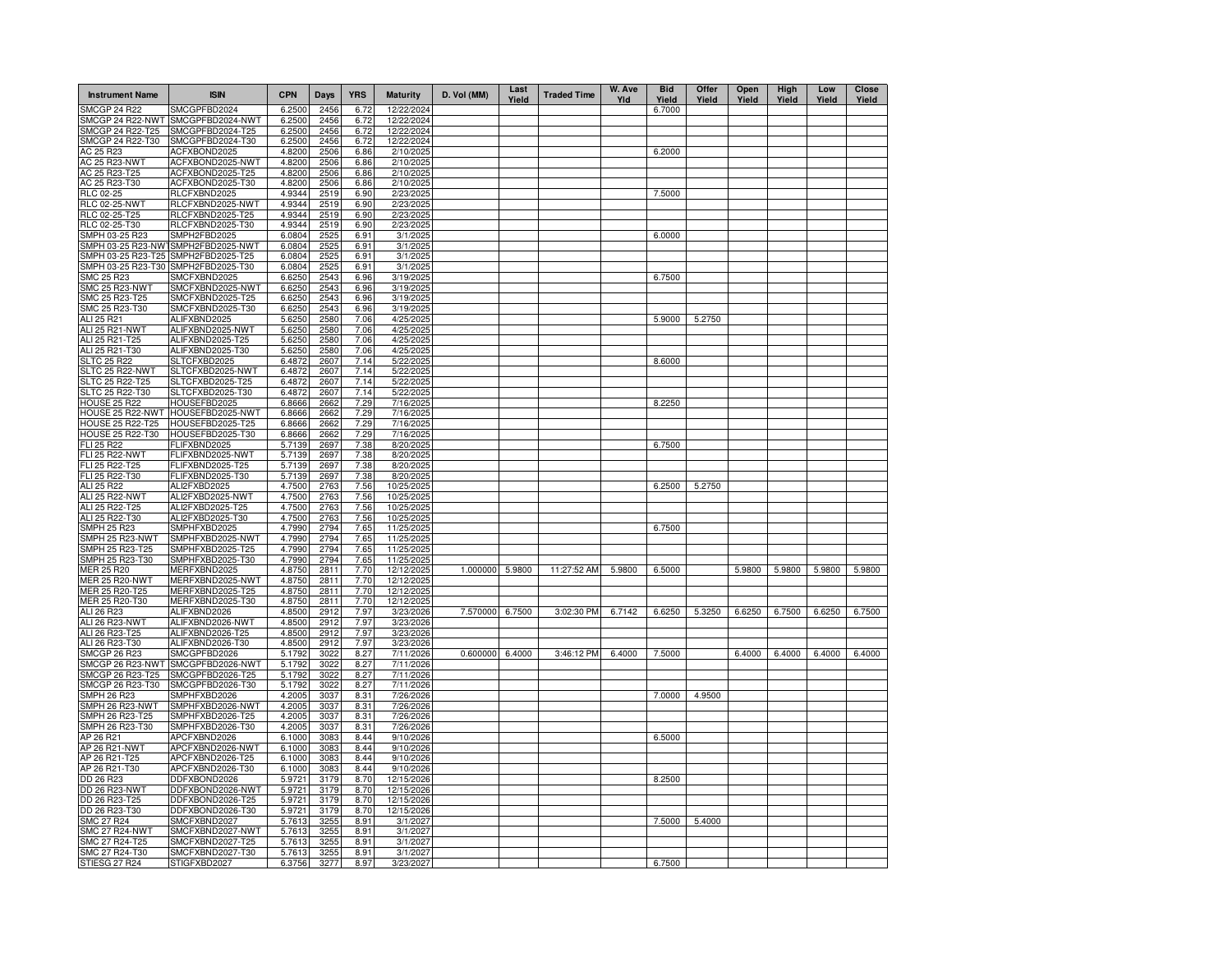| <b>Instrument Name</b>                   | <b>ISIN</b>                          | <b>CPN</b>       | <b>Days</b>  | <b>YRS</b>   | <b>Maturity</b>          | D. Vol (MM)     | Last<br>Yield | <b>Traded Time</b> | W. Ave<br>Yld | <b>Bid</b><br>Yield | Offer<br>Yield | Open<br>Yield | High<br>Yield | Low<br>Yield | <b>Close</b><br>Yield |
|------------------------------------------|--------------------------------------|------------------|--------------|--------------|--------------------------|-----------------|---------------|--------------------|---------------|---------------------|----------------|---------------|---------------|--------------|-----------------------|
| <b>SMCGP 24 R22</b>                      | SMCGPFBD2024                         | 6.2500           | 2456         | 6.72         | 12/22/2024               |                 |               |                    |               | 6.7000              |                |               |               |              |                       |
| SMCGP 24 R22-NWT                         | SMCGPFBD2024-NWT                     | 6.2500           | 2456         | 6.72         | 12/22/2024               |                 |               |                    |               |                     |                |               |               |              |                       |
| SMCGP 24 R22-T25<br>SMCGP 24 R22-T30     | SMCGPFBD2024-T25<br>SMCGPFBD2024-T30 | 6.2500           | 2456<br>2456 | 6.72         | 12/22/2024<br>12/22/2024 |                 |               |                    |               |                     |                |               |               |              |                       |
| AC 25 R23                                | ACFXBOND2025                         | 6.2500<br>4.8200 | 2506         | 6.72<br>6.86 | 2/10/2025                |                 |               |                    |               | 6.2000              |                |               |               |              |                       |
| AC 25 R23-NWT                            | ACFXBOND2025-NWT                     | 4.8200           | 2506         | 6.86         | 2/10/2025                |                 |               |                    |               |                     |                |               |               |              |                       |
| AC 25 R23-T25                            | ACFXBOND2025-T25                     | 4.8200           | 2506         | 6.86         | 2/10/2025                |                 |               |                    |               |                     |                |               |               |              |                       |
| AC 25 R23-T30                            | ACFXBOND2025-T30                     | 4.8200           | 2506         | 6.86         | 2/10/2025                |                 |               |                    |               |                     |                |               |               |              |                       |
| RLC 02-25                                | RLCFXBND2025                         | 4.9344           | 2519         | 6.90         | 2/23/2025                |                 |               |                    |               | 7.5000              |                |               |               |              |                       |
| <b>RLC 02-25-NWT</b>                     | RLCFXBND2025-NWT                     | 4.9344           | 2519         | 6.90         | 2/23/2025                |                 |               |                    |               |                     |                |               |               |              |                       |
| RLC 02-25-T25                            | RLCFXBND2025-T25                     | 4.9344           | 2519         | 6.90         | 2/23/2025                |                 |               |                    |               |                     |                |               |               |              |                       |
| RLC 02-25-T30                            | RLCFXBND2025-T30                     | 4.9344           | 2519         | 6.90         | 2/23/2025                |                 |               |                    |               |                     |                |               |               |              |                       |
| SMPH 03-25 R23                           | SMPH2FBD2025<br>SMPH2FBD2025-NWT     | 6.0804           | 2525         | 6.91         | 3/1/2025                 |                 |               |                    |               | 6.0000              |                |               |               |              |                       |
| SMPH 03-25 R23-NWT<br>SMPH 03-25 R23-T25 | SMPH2FBD2025-T25                     | 6.0804<br>6.0804 | 2525<br>2525 | 6.91<br>6.91 | 3/1/2025<br>3/1/2025     |                 |               |                    |               |                     |                |               |               |              |                       |
| SMPH 03-25 R23-T30                       | SMPH2FBD2025-T30                     | 6.0804           | 2525         | 6.91         | 3/1/2025                 |                 |               |                    |               |                     |                |               |               |              |                       |
| <b>SMC 25 R23</b>                        | SMCFXBND2025                         | 6.6250           | 2543         | 6.96         | 3/19/2025                |                 |               |                    |               | 6.7500              |                |               |               |              |                       |
| SMC 25 R23-NWT                           | SMCFXBND2025-NWT                     | 6.6250           | 2543         | 6.96         | 3/19/2025                |                 |               |                    |               |                     |                |               |               |              |                       |
| SMC 25 R23-T25                           | SMCFXBND2025-T25                     | 6.6250           | 2543         | 6.96         | 3/19/2025                |                 |               |                    |               |                     |                |               |               |              |                       |
| SMC 25 R23-T30                           | SMCFXBND2025-T30                     | 6.6250           | 2543         | 6.96         | 3/19/2025                |                 |               |                    |               |                     |                |               |               |              |                       |
| ALI 25 R21                               | ALIFXBND2025                         | 5.6250           | 2580         | 7.06         | 4/25/2025                |                 |               |                    |               | 5.9000              | 5.2750         |               |               |              |                       |
| ALI 25 R21-NWT                           | ALIFXBND2025-NWT                     | 5.6250           | 2580         | 7.06         | 4/25/2025                |                 |               |                    |               |                     |                |               |               |              |                       |
| ALI 25 R21-T25                           | ALIFXBND2025-T25                     | 5.6250           | 2580         | 7.06         | 4/25/2025                |                 |               |                    |               |                     |                |               |               |              |                       |
| ALI 25 R21-T30                           | ALIFXBND2025-T30                     | 5.6250           | 2580         | 7.06         | 4/25/2025                |                 |               |                    |               |                     |                |               |               |              |                       |
| <b>SLTC 25 R22</b><br>SLTC 25 R22-NWT    | SLTCFXBD2025<br>SLTCFXBD2025-NWT     | 6.4872<br>6.4872 | 2607<br>2607 | 7.14<br>7.14 | 5/22/2025<br>5/22/2025   |                 |               |                    |               | 8.6000              |                |               |               |              |                       |
| SLTC 25 R22-T25                          | SLTCFXBD2025-T25                     | 6.4872           | 2607         | 7.14         | 5/22/2025                |                 |               |                    |               |                     |                |               |               |              |                       |
| SLTC 25 R22-T30                          | SLTCFXBD2025-T30                     | 6.4872           | 2607         | 7.14         | 5/22/2025                |                 |               |                    |               |                     |                |               |               |              |                       |
| <b>HOUSE 25 R22</b>                      | HOUSEFBD2025                         | 6.8666           | 2662         | 7.29         | 7/16/2025                |                 |               |                    |               | 8.2250              |                |               |               |              |                       |
| HOUSE 25 R22-NWT                         | HOUSEFBD2025-NWT                     | 6.8666           | 2662         | 7.29         | 7/16/2025                |                 |               |                    |               |                     |                |               |               |              |                       |
| <b>HOUSE 25 R22-T25</b>                  | HOUSEFBD2025-T25                     | 6.8666           | 266          | 7.29         | 7/16/2025                |                 |               |                    |               |                     |                |               |               |              |                       |
| <b>HOUSE 25 R22-T30</b>                  | HOUSEFBD2025-T30                     | 6.8666           | 2662         | 7.29         | 7/16/2025                |                 |               |                    |               |                     |                |               |               |              |                       |
| FLI 25 R22                               | FLIFXBND2025                         | 5.7139           | 2697         | 7.38         | 8/20/2025                |                 |               |                    |               | 6.7500              |                |               |               |              |                       |
| <b>FLI 25 R22-NWT</b>                    | FLIFXBND2025-NWT                     | 5.7139           | 2697         | 7.38         | 8/20/2025                |                 |               |                    |               |                     |                |               |               |              |                       |
| FLI 25 R22-T25<br>FLI 25 R22-T30         | FLIFXBND2025-T25<br>FLIFXBND2025-T30 | 5.7139<br>5.7139 | 2697<br>2697 | 7.38<br>7.38 | 8/20/2025<br>8/20/2025   |                 |               |                    |               |                     |                |               |               |              |                       |
| ALI 25 R22                               | ALI2FXBD2025                         | 4.7500           | 2763         | 7.56         | 10/25/2025               |                 |               |                    |               | 6.2500              | 5.2750         |               |               |              |                       |
| <b>ALI 25 R22-NWT</b>                    | ALI2FXBD2025-NWT                     | 4.7500           | 2763         | 7.56         | 10/25/2025               |                 |               |                    |               |                     |                |               |               |              |                       |
| ALI 25 R22-T25                           | ALI2FXBD2025-T25                     | 4.7500           | 2763         | 7.56         | 10/25/2025               |                 |               |                    |               |                     |                |               |               |              |                       |
| ALI 25 R22-T30                           | ALI2FXBD2025-T30                     | 4.7500           | 2763         | 7.56         | 10/25/2025               |                 |               |                    |               |                     |                |               |               |              |                       |
| SMPH 25 R23                              | SMPHFXBD2025                         | 4.7990           | 2794         | 7.65         | 11/25/2025               |                 |               |                    |               | 6.7500              |                |               |               |              |                       |
| SMPH 25 R23-NWT                          | SMPHFXBD2025-NWT                     | 4.7990           | 2794         | 7.65         | 11/25/2025               |                 |               |                    |               |                     |                |               |               |              |                       |
| SMPH 25 R23-T25                          | SMPHFXBD2025-T25                     | 4.7990           | 2794         | 7.65         | 11/25/2025               |                 |               |                    |               |                     |                |               |               |              |                       |
| SMPH 25 R23-T30                          | SMPHFXBD2025-T30                     | 4.7990           | 2794<br>2811 | 7.65         | 11/25/2025               |                 |               |                    |               |                     |                |               |               |              |                       |
| MER 25 R20<br><b>MER 25 R20-NWT</b>      | MERFXBND2025<br>MERFXBND2025-NWT     | 4.8750<br>4.8750 | 2811         | 7.70<br>7.70 | 12/12/2025<br>12/12/2025 | 1.000000 5.9800 |               | 11:27:52 AM        | 5.9800        | 6.5000              |                | 5.9800        | 5.9800        | 5.9800       | 5.9800                |
| MER 25 R20-T25                           | MERFXBND2025-T25                     | 4.8750           | 2811         | 7.70         | 12/12/2025               |                 |               |                    |               |                     |                |               |               |              |                       |
| MER 25 R20-T30                           | MERFXBND2025-T30                     | 4.8750           | 2811         | 7.70         | 12/12/2025               |                 |               |                    |               |                     |                |               |               |              |                       |
| ALI 26 R23                               | ALIFXBND2026                         | 4.8500           | 2912         | 7.97         | 3/23/2026                | 7.570000 6.7500 |               | 3:02:30 PM         | 6.7142        | 6.6250              | 5.3250         | 6.6250        | 6.7500        | 6.6250       | 6.7500                |
| ALI 26 R23-NWT                           | ALIFXBND2026-NWT                     | 4.8500           | 2912         | 7.97         | 3/23/2026                |                 |               |                    |               |                     |                |               |               |              |                       |
| ALI 26 R23-T25                           | ALIFXBND2026-T25                     | 4.8500           | 2912         | 7.97         | 3/23/2026                |                 |               |                    |               |                     |                |               |               |              |                       |
| ALI 26 R23-T30                           | ALIFXBND2026-T30                     | 4.8500           | 2912         | 7.97         | 3/23/2026                |                 |               |                    |               |                     |                |               |               |              |                       |
| <b>SMCGP 26 R23</b>                      | SMCGPFBD2026                         | 5.1792           | 3022         | 8.27         | 7/11/2026                | 0.600000 6.4000 |               | 3:46:12 PM         | 6.4000        | 7.5000              |                | 6.4000        | 6.4000        | 6.4000       | 6.4000                |
| SMCGP 26 R23-NWT                         | SMCGPFBD2026-NWT                     | 5.1792           | 3022<br>3022 | 8.27         | 7/11/2026                |                 |               |                    |               |                     |                |               |               |              |                       |
| SMCGP 26 R23-T25<br>SMCGP 26 R23-T30     | SMCGPFBD2026-T25<br>SMCGPFBD2026-T30 | 5.1792<br>5.1792 | 3022         | 8.27<br>8.27 | 7/11/2026<br>7/11/2026   |                 |               |                    |               |                     |                |               |               |              |                       |
| SMPH 26 R23                              | SMPHFXBD2026                         | 4.2005           | 3037         | 8.31         | 7/26/2026                |                 |               |                    |               | 7.0000              | 4.9500         |               |               |              |                       |
| SMPH 26 R23-NWT                          | SMPHFXBD2026-NWT                     | 4.2005           | 3037         | 8.31         | 7/26/2026                |                 |               |                    |               |                     |                |               |               |              |                       |
| SMPH 26 R23-T25                          | SMPHFXBD2026-T25                     | 4.2005           | 3037         | 8.31         | 7/26/2026                |                 |               |                    |               |                     |                |               |               |              |                       |
| SMPH 26 R23-T30                          | SMPHFXBD2026-T30                     | 4.2005           | 3037         | 8.31         | 7/26/2026                |                 |               |                    |               |                     |                |               |               |              |                       |
| AP 26 R21                                | APCFXBND2026                         | 6.1000           | 3083         | 8.44         | 9/10/2026                |                 |               |                    |               | 6.5000              |                |               |               |              |                       |
| AP 26 R21-NWT                            | APCFXBND2026-NWT                     | 6.1000           | 3083         | 8.44         | 9/10/2026                |                 |               |                    |               |                     |                |               |               |              |                       |
| AP 26 R21-T25                            | APCFXBND2026-T25                     | 6.1000           | 3083         | 8.44         | 9/10/2026                |                 |               |                    |               |                     |                |               |               |              |                       |
| AP 26 R21-T30                            | APCFXBND2026-T30                     | 6.1000           | 3083         | 8.44         | 9/10/2026                |                 |               |                    |               |                     |                |               |               |              |                       |
| DD 26 R23                                | DDFXBOND2026                         | 5.972            | 3179         | 8.70         | 12/15/2026               |                 |               |                    |               | 8.2500              |                |               |               |              |                       |
| DD 26 R23-NWT<br>DD 26 R23-T25           | DDFXBOND2026-NWT<br>DDFXBOND2026-T25 | 5.972<br>5.972   | 3179<br>3179 | 8.70<br>8.70 | 12/15/2026<br>12/15/2026 |                 |               |                    |               |                     |                |               |               |              |                       |
| DD 26 R23-T30                            | DDFXBOND2026-T30                     | 5.9721           | 3179         | 8.70         | 12/15/2026               |                 |               |                    |               |                     |                |               |               |              |                       |
| <b>SMC 27 R24</b>                        | SMCFXBND2027                         | 5.7613           | 3255         | 8.91         | 3/1/2027                 |                 |               |                    |               | 7.5000              | 5.4000         |               |               |              |                       |
| <b>SMC 27 R24-NWT</b>                    | SMCFXBND2027-NWT                     | 5.7613           | 3255         | 8.91         | 3/1/2027                 |                 |               |                    |               |                     |                |               |               |              |                       |
| SMC 27 R24-T25                           | SMCFXBND2027-T25                     | 5.7613           | 3255         | 8.91         | 3/1/2027                 |                 |               |                    |               |                     |                |               |               |              |                       |
| SMC 27 R24-T30                           | SMCFXBND2027-T30                     | 5.7613           | 3255         | 8.91         | 3/1/2027                 |                 |               |                    |               |                     |                |               |               |              |                       |
| STIESG 27 R24                            | STIGFXBD2027                         | 6.3756           | 3277         | 8.97         | 3/23/2027                |                 |               |                    |               | 6.7500              |                |               |               |              |                       |